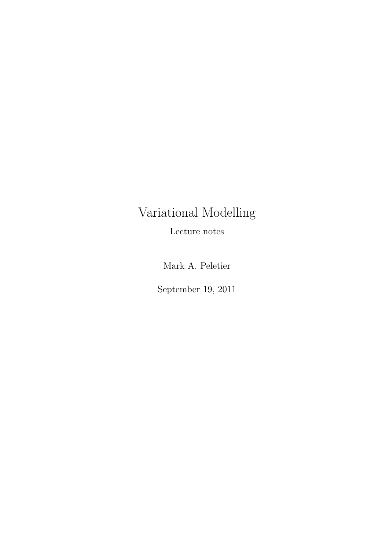## Variational Modelling

Lecture notes

Mark A. Peletier

September 19, 2011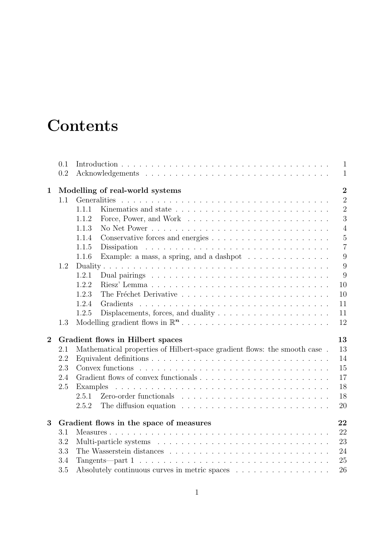### **Contents**

|                | 0.1 |                                                                                                                                                 | $\mathbf{1}$   |  |  |  |  |  |  |
|----------------|-----|-------------------------------------------------------------------------------------------------------------------------------------------------|----------------|--|--|--|--|--|--|
|                | 0.2 |                                                                                                                                                 | $\mathbf{1}$   |  |  |  |  |  |  |
| $\mathbf{1}$   |     | $\overline{2}$<br>Modelling of real-world systems                                                                                               |                |  |  |  |  |  |  |
|                | 1.1 | Generalities                                                                                                                                    | $\overline{2}$ |  |  |  |  |  |  |
|                |     | 1.1.1                                                                                                                                           | $\overline{2}$ |  |  |  |  |  |  |
|                |     | 1.1.2                                                                                                                                           | 3              |  |  |  |  |  |  |
|                |     | 1.1.3                                                                                                                                           | $\overline{4}$ |  |  |  |  |  |  |
|                |     | 1.1.4                                                                                                                                           | $\overline{5}$ |  |  |  |  |  |  |
|                |     | 1.1.5<br>Dissipation                                                                                                                            | $\overline{7}$ |  |  |  |  |  |  |
|                |     | 1.1.6<br>Example: a mass, a spring, and a dashpot $\dots \dots \dots \dots \dots$                                                               | 9              |  |  |  |  |  |  |
|                | 1.2 |                                                                                                                                                 | 9              |  |  |  |  |  |  |
|                |     | 1.2.1                                                                                                                                           | 9              |  |  |  |  |  |  |
|                |     | 1.2.2                                                                                                                                           | 10             |  |  |  |  |  |  |
|                |     | 1.2.3                                                                                                                                           | 10             |  |  |  |  |  |  |
|                |     | 1.2.4<br>Gradients                                                                                                                              | 11             |  |  |  |  |  |  |
|                |     | Displacements, forces, and duality $\dots \dots \dots \dots \dots \dots \dots$<br>1.2.5                                                         | 11             |  |  |  |  |  |  |
|                |     |                                                                                                                                                 |                |  |  |  |  |  |  |
|                | 1.3 |                                                                                                                                                 | 12             |  |  |  |  |  |  |
| $\overline{2}$ |     | Gradient flows in Hilbert spaces                                                                                                                | 13             |  |  |  |  |  |  |
|                | 2.1 | Mathematical properties of Hilbert-space gradient flows: the smooth case.                                                                       | 13             |  |  |  |  |  |  |
|                | 2.2 |                                                                                                                                                 | 14             |  |  |  |  |  |  |
|                | 2.3 |                                                                                                                                                 | 15             |  |  |  |  |  |  |
|                | 2.4 |                                                                                                                                                 | 17             |  |  |  |  |  |  |
|                | 2.5 | Examples                                                                                                                                        | 18             |  |  |  |  |  |  |
|                |     |                                                                                                                                                 | 18             |  |  |  |  |  |  |
|                |     | 2.5.2                                                                                                                                           | 20             |  |  |  |  |  |  |
| 3              |     |                                                                                                                                                 | 22             |  |  |  |  |  |  |
|                | 3.1 | Gradient flows in the space of measures                                                                                                         | 22             |  |  |  |  |  |  |
|                | 3.2 |                                                                                                                                                 | 23             |  |  |  |  |  |  |
|                | 3.3 |                                                                                                                                                 | 24             |  |  |  |  |  |  |
|                | 3.4 |                                                                                                                                                 |                |  |  |  |  |  |  |
|                | 3.5 | Tangents—part $1 \ldots \ldots \ldots \ldots \ldots \ldots \ldots \ldots \ldots \ldots \ldots$<br>Absolutely continuous curves in metric spaces | 25<br>26       |  |  |  |  |  |  |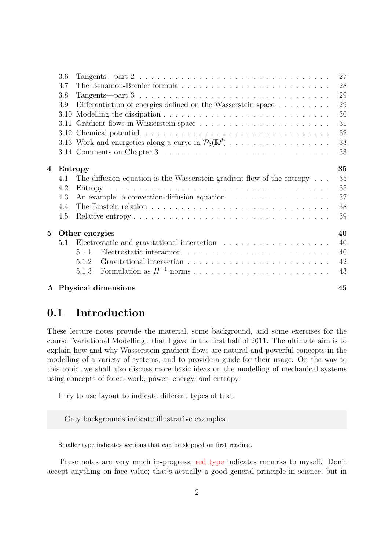| 3.6                  | Tangents—part $2 \ldots \ldots \ldots \ldots \ldots \ldots \ldots \ldots \ldots \ldots \ldots \ldots$ | 27                               |  |  |  |  |
|----------------------|-------------------------------------------------------------------------------------------------------|----------------------------------|--|--|--|--|
| 3.7                  |                                                                                                       | 28                               |  |  |  |  |
| 3.8                  | Tangents—part $3 \ldots \ldots \ldots \ldots \ldots \ldots \ldots \ldots \ldots \ldots \ldots \ldots$ | 29                               |  |  |  |  |
| 3.9                  | Differentiation of energies defined on the Wasserstein space                                          | 29                               |  |  |  |  |
| 3.10                 |                                                                                                       | 30                               |  |  |  |  |
|                      |                                                                                                       | 31                               |  |  |  |  |
|                      |                                                                                                       | 32                               |  |  |  |  |
|                      |                                                                                                       | 33                               |  |  |  |  |
|                      |                                                                                                       | 33                               |  |  |  |  |
|                      | 35                                                                                                    |                                  |  |  |  |  |
| 4.1                  | The diffusion equation is the Wasserstein gradient flow of the entropy                                | 35                               |  |  |  |  |
| 4.2                  |                                                                                                       | 35                               |  |  |  |  |
| 4.3                  |                                                                                                       | 37                               |  |  |  |  |
| 4.4                  |                                                                                                       | 38                               |  |  |  |  |
| 4.5                  |                                                                                                       | 39                               |  |  |  |  |
| 40<br>Other energies |                                                                                                       |                                  |  |  |  |  |
| 5.1                  |                                                                                                       | 40                               |  |  |  |  |
|                      | 5.1.1                                                                                                 | 40                               |  |  |  |  |
|                      | 5.1.2                                                                                                 | 42                               |  |  |  |  |
|                      | 5.1.3                                                                                                 | 43                               |  |  |  |  |
|                      |                                                                                                       | 45                               |  |  |  |  |
|                      |                                                                                                       | Entropy<br>A Physical dimensions |  |  |  |  |

#### <span id="page-2-0"></span>0.1 Introduction

These lecture notes provide the material, some background, and some exercises for the course 'Variational Modelling', that I gave in the first half of 2011. The ultimate aim is to explain how and why Wasserstein gradient flows are natural and powerful concepts in the modelling of a variety of systems, and to provide a guide for their usage. On the way to this topic, we shall also discuss more basic ideas on the modelling of mechanical systems using concepts of force, work, power, energy, and entropy.

I try to use layout to indicate different types of text.

Grey backgrounds indicate illustrative examples.

Smaller type indicates sections that can be skipped on first reading.

These notes are very much in-progress; red type indicates remarks to myself. Don't accept anything on face value; that's actually a good general principle in science, but in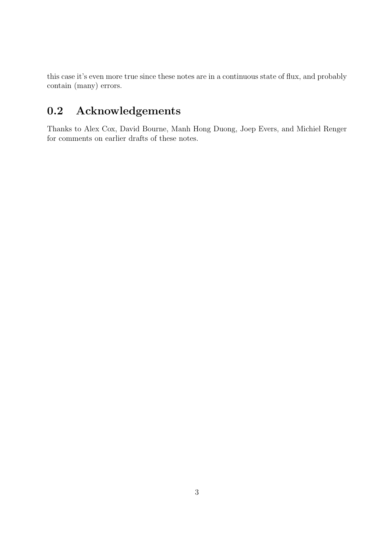this case it's even more true since these notes are in a continuous state of flux, and probably contain (many) errors.

### <span id="page-3-0"></span>0.2 Acknowledgements

Thanks to Alex Cox, David Bourne, Manh Hong Duong, Joep Evers, and Michiel Renger for comments on earlier drafts of these notes.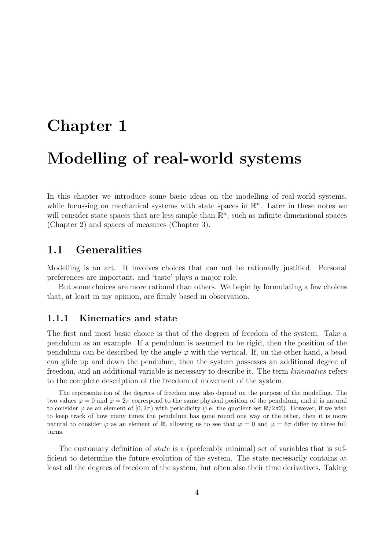# <span id="page-4-0"></span>Chapter 1 Modelling of real-world systems

In this chapter we introduce some basic ideas on the modelling of real-world systems, while focussing on mechanical systems with state spaces in  $\mathbb{R}^n$ . Later in these notes we will consider state spaces that are less simple than  $\mathbb{R}^n$ , such as infinite-dimensional spaces (Chapter [2\)](#page-15-0) and spaces of measures (Chapter [3\)](#page-24-0).

#### <span id="page-4-1"></span>1.1 Generalities

Modelling is an art. It involves choices that can not be rationally justified. Personal preferences are important, and 'taste' plays a major role.

But some choices are more rational than others. We begin by formulating a few choices that, at least in my opinion, are firmly based in observation.

#### <span id="page-4-2"></span>1.1.1 Kinematics and state

The first and most basic choice is that of the degrees of freedom of the system. Take a pendulum as an example. If a pendulum is assumed to be rigid, then the position of the pendulum can be described by the angle  $\varphi$  with the vertical. If, on the other hand, a bead can glide up and down the pendulum, then the system possesses an additional degree of freedom, and an additional variable is necessary to describe it. The term kinematics refers to the complete description of the freedom of movement of the system.

The representation of the degrees of freedom may also depend on the purpose of the modelling. The two values  $\varphi = 0$  and  $\varphi = 2\pi$  correspond to the same physical position of the pendulum, and it is natural to consider  $\varphi$  as an element of  $[0, 2\pi)$  with periodicity (i.e. the quotient set  $\mathbb{R}/2\pi\mathbb{Z}$ ). However, if we wish to keep track of how many times the pendulum has gone round one way or the other, then it is more natural to consider  $\varphi$  as an element of R, allowing us to see that  $\varphi = 0$  and  $\varphi = 6\pi$  differ by three full turns.

The customary definition of *state* is a (preferably minimal) set of variables that is sufficient to determine the future evolution of the system. The state necessarily contains at least all the degrees of freedom of the system, but often also their time derivatives. Taking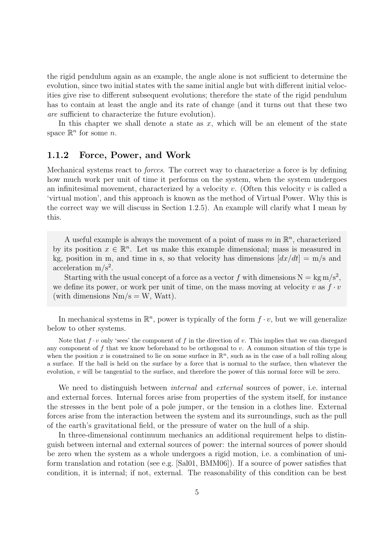the rigid pendulum again as an example, the angle alone is not sufficient to determine the evolution, since two initial states with the same initial angle but with different initial velocities give rise to different subsequent evolutions; therefore the state of the rigid pendulum has to contain at least the angle and its rate of change (and it turns out that these two are sufficient to characterize the future evolution).

In this chapter we shall denote a state as  $x$ , which will be an element of the state space  $\mathbb{R}^n$  for some *n*.

#### <span id="page-5-0"></span>1.1.2 Force, Power, and Work

Mechanical systems react to forces. The correct way to characterize a force is by defining how much work per unit of time it performs on the system, when the system undergoes an infinitesimal movement, characterized by a velocity  $v$ . (Often this velocity  $v$  is called a 'virtual motion', and this approach is known as the method of Virtual Power. Why this is the correct way we will discuss in Section [1.2.5\)](#page-13-1). An example will clarify what I mean by this.

A useful example is always the movement of a point of mass  $m$  in  $\mathbb{R}^n$ , characterized by its position  $x \in \mathbb{R}^n$ . Let us make this example dimensional; mass is measured in kg, position in m, and time in s, so that velocity has dimensions  $\left[dx/dt\right] = m/s$  and acceleration  $m/s^2$ .

Starting with the usual concept of a force as a vector f with dimensions  $N = \text{kg m/s}^2$ , we define its power, or work per unit of time, on the mass moving at velocity v as  $f \cdot v$ (with dimensions  $Nm/s = W$ , Watt).

In mechanical systems in  $\mathbb{R}^n$ , power is typically of the form  $f \cdot v$ , but we will generalize below to other systems.

Note that  $f \cdot v$  only 'sees' the component of f in the direction of v. This implies that we can disregard any component of f that we know beforehand to be orthogonal to v. A common situation of this type is when the position x is constrained to lie on some surface in  $\mathbb{R}^n$ , such as in the case of a ball rolling along a surface. If the ball is held on the surface by a force that is normal to the surface, then whatever the evolution, v will be tangential to the surface, and therefore the power of this normal force will be zero.

We need to distinguish between *internal* and *external* sources of power, i.e. internal and external forces. Internal forces arise from properties of the system itself, for instance the stresses in the bent pole of a pole jumper, or the tension in a clothes line. External forces arise from the interaction between the system and its surroundings, such as the pull of the earth's gravitational field, or the pressure of water on the hull of a ship.

In three-dimensional continuum mechanics an additional requirement helps to distinguish between internal and external sources of power: the internal sources of power should be zero when the system as a whole undergoes a rigid motion, i.e. a combination of uniform translation and rotation (see e.g. [\[Sal01,](#page-50-0) [BMM06\]](#page-48-0)). If a source of power satisfies that condition, it is internal; if not, external. The reasonability of this condition can be best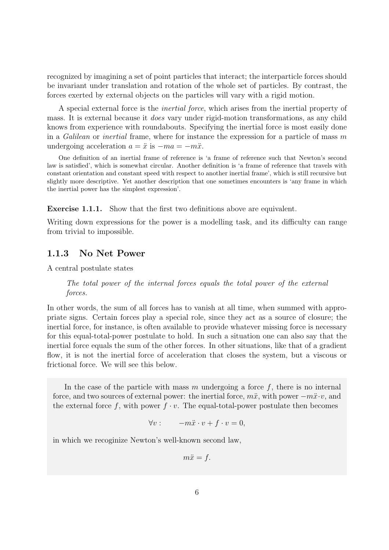recognized by imagining a set of point particles that interact; the interparticle forces should be invariant under translation and rotation of the whole set of particles. By contrast, the forces exerted by external objects on the particles will vary with a rigid motion.

A special external force is the inertial force, which arises from the inertial property of mass. It is external because it does vary under rigid-motion transformations, as any child knows from experience with roundabouts. Specifying the inertial force is most easily done in a Galilean or inertial frame, where for instance the expression for a particle of mass  $m$ undergoing acceleration  $a = \ddot{x}$  is  $-ma = -m\ddot{x}$ .

One definition of an inertial frame of reference is 'a frame of reference such that Newton's second law is satisfied', which is somewhat circular. Another definition is 'a frame of reference that travels with constant orientation and constant speed with respect to another inertial frame', which is still recursive but slightly more descriptive. Yet another description that one sometimes encounters is 'any frame in which the inertial power has the simplest expression'.

Exercise 1.1.1. Show that the first two definitions above are equivalent.

Writing down expressions for the power is a modelling task, and its difficulty can range from trivial to impossible.

#### <span id="page-6-0"></span>1.1.3 No Net Power

A central postulate states

The total power of the internal forces equals the total power of the external forces.

In other words, the sum of all forces has to vanish at all time, when summed with appropriate signs. Certain forces play a special role, since they act as a source of closure; the inertial force, for instance, is often available to provide whatever missing force is necessary for this equal-total-power postulate to hold. In such a situation one can also say that the inertial force equals the sum of the other forces. In other situations, like that of a gradient flow, it is not the inertial force of acceleration that closes the system, but a viscous or frictional force. We will see this below.

In the case of the particle with mass m undergoing a force  $f$ , there is no internal force, and two sources of external power: the inertial force,  $m\ddot{x}$ , with power  $-m\ddot{x}\cdot v$ , and the external force f, with power  $f \cdot v$ . The equal-total-power postulate then becomes

$$
\forall v: \qquad -m\ddot{x} \cdot v + f \cdot v = 0,
$$

in which we recoginize Newton's well-known second law,

 $m\ddot{x} = f$ .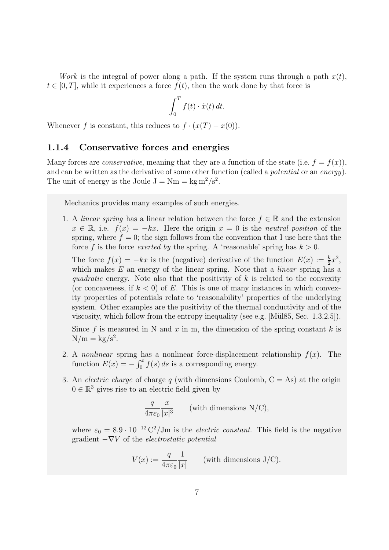Work is the integral of power along a path. If the system runs through a path  $x(t)$ ,  $t \in [0, T]$ , while it experiences a force  $f(t)$ , then the work done by that force is

$$
\int_0^T f(t) \cdot \dot{x}(t) dt.
$$

Whenever f is constant, this reduces to  $f \cdot (x(T) - x(0))$ .

#### <span id="page-7-0"></span>1.1.4 Conservative forces and energies

Many forces are *conservative*, meaning that they are a function of the state (i.e.  $f = f(x)$ ). and can be written as the derivative of some other function (called a *potential* or an *energy*). The unit of energy is the Joule  $J = Nm = kg m^2/s^2$ .

Mechanics provides many examples of such energies.

1. A *linear spring* has a linear relation between the force  $f \in \mathbb{R}$  and the extension  $x \in \mathbb{R}$ , i.e.  $f(x) = -kx$ . Here the origin  $x = 0$  is the neutral position of the spring, where  $f = 0$ ; the sign follows from the convention that I use here that the force f is the force exerted by the spring. A 'reasonable' spring has  $k > 0$ .

The force  $f(x) = -kx$  is the (negative) derivative of the function  $E(x) := \frac{k}{2}x^2$ , which makes  $E$  an energy of the linear spring. Note that a *linear* spring has a quadratic energy. Note also that the positivity of  $k$  is related to the convexity (or concaveness, if  $k < 0$ ) of E. This is one of many instances in which convexity properties of potentials relate to 'reasonability' properties of the underlying system. Other examples are the positivity of the thermal conductivity and of the viscosity, which follow from the entropy inequality (see e.g. [Mül85, Sec. 1.3.2.5]).

Since f is measured in N and x in m, the dimension of the spring constant k is  $N/m = \mathrm{kg/s^2}.$ 

- 2. A nonlinear spring has a nonlinear force-displacement relationship  $f(x)$ . The function  $E(x) = -\int_0^x f(s) ds$  is a corresponding energy.
- 3. An *electric charge* of charge q (with dimensions Coulomb,  $C = As$ ) at the origin  $0 \in \mathbb{R}^3$  gives rise to an electric field given by

$$
\frac{q}{4\pi\varepsilon_0} \frac{x}{|x|^3}
$$
 (with dimensions N/C),

where  $\varepsilon_0 = 8.9 \cdot 10^{-12} \text{ C}^2/\text{Jm}$  is the *electric constant*. This field is the negative gradient  $-\nabla V$  of the *electrostatic potential* 

$$
V(x) := \frac{q}{4\pi\varepsilon_0} \frac{1}{|x|}
$$
 (with dimensions J/C).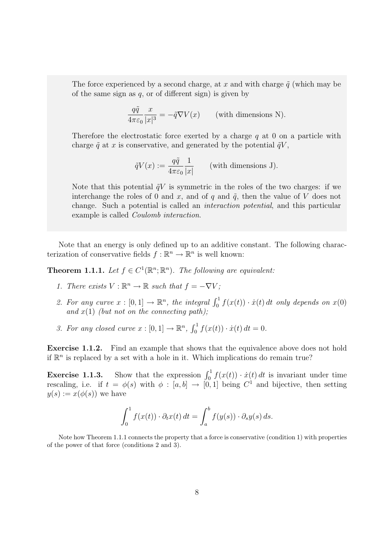The force experienced by a second charge, at x and with charge  $\tilde{q}$  (which may be of the same sign as  $q$ , or of different sign) is given by

$$
\frac{q\tilde{q}}{4\pi\varepsilon_0} \frac{x}{|x|^3} = -\tilde{q}\nabla V(x) \qquad \text{(with dimensions N)}.
$$

Therefore the electrostatic force exerted by a charge  $q$  at 0 on a particle with charge  $\tilde{q}$  at x is conservative, and generated by the potential  $\tilde{q}V$ ,

$$
\tilde{q}V(x) := \frac{q\tilde{q}}{4\pi\varepsilon_0} \frac{1}{|x|} \qquad \text{(with dimensions J)}.
$$

Note that this potential  $\tilde{q}V$  is symmetric in the roles of the two charges: if we interchange the roles of 0 and x, and of q and  $\tilde{q}$ , then the value of V does not change. Such a potential is called an interaction potential, and this particular example is called Coulomb interaction.

Note that an energy is only defined up to an additive constant. The following characterization of conservative fields  $f : \mathbb{R}^n \to \mathbb{R}^n$  is well known:

<span id="page-8-0"></span>**Theorem 1.1.1.** Let  $f \in C^1(\mathbb{R}^n;\mathbb{R}^n)$ . The following are equivalent:

- <span id="page-8-1"></span>1. There exists  $V : \mathbb{R}^n \to \mathbb{R}$  such that  $f = -\nabla V$ ;
- <span id="page-8-2"></span>2. For any curve  $x : [0,1] \to \mathbb{R}^n$ , the integral  $\int_0^1 f(x(t)) \cdot \dot{x}(t) dt$  only depends on  $x(0)$ and  $x(1)$  (but not on the connecting path);
- <span id="page-8-3"></span>3. For any closed curve  $x : [0,1] \to \mathbb{R}^n$ ,  $\int_0^1 f(x(t)) \cdot \dot{x}(t) dt = 0$ .

Exercise 1.1.2. Find an example that shows that the equivalence above does not hold if  $\mathbb{R}^n$  is replaced by a set with a hole in it. Which implications do remain true?

<span id="page-8-4"></span>**Exercise 1.1.3.** Show that the expression  $\int_0^1 f(x(t)) \cdot \dot{x}(t) dt$  is invariant under time rescaling, i.e. if  $t = \phi(s)$  with  $\phi : [a, b] \to [0, 1]$  being  $C^1$  and bijective, then setting  $y(s) := x(\phi(s))$  we have

$$
\int_0^1 f(x(t)) \cdot \partial_t x(t) dt = \int_a^b f(y(s)) \cdot \partial_s y(s) ds.
$$

Note how Theorem [1.1.1](#page-8-0) connects the property that a force is conservative (condition [1\)](#page-8-1) with properties of the power of that force (conditions [2](#page-8-2) and [3\)](#page-8-3).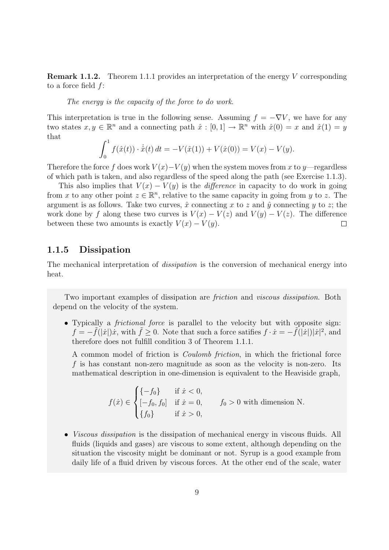**Remark 1.1.2.** Theorem [1.1.1](#page-8-0) provides an interpretation of the energy V corresponding to a force field f:

The energy is the capacity of the force to do work.

This interpretation is true in the following sense. Assuming  $f = -\nabla V$ , we have for any two states  $x, y \in \mathbb{R}^n$  and a connecting path  $\hat{x} : [0, 1] \to \mathbb{R}^n$  with  $\hat{x}(0) = x$  and  $\hat{x}(1) = y$ that

$$
\int_0^1 f(\hat{x}(t)) \cdot \dot{\hat{x}}(t) dt = -V(\hat{x}(1)) + V(\hat{x}(0)) = V(x) - V(y).
$$

Therefore the force f does work  $V(x)-V(y)$  when the system moves from x to y—regardless of which path is taken, and also regardless of the speed along the path (see Exercise [1.1.3\)](#page-8-4).

This also implies that  $V(x) - V(y)$  is the *difference* in capacity to do work in going from x to any other point  $z \in \mathbb{R}^n$ , relative to the same capacity in going from y to z. The argument is as follows. Take two curves,  $\hat{x}$  connecting x to z and  $\hat{y}$  connecting y to z; the work done by f along these two curves is  $V(x) - V(z)$  and  $V(y) - V(z)$ . The difference between these two amounts is exactly  $V(x) - V(y)$ .  $\Box$ 

#### <span id="page-9-0"></span>1.1.5 Dissipation

The mechanical interpretation of *dissipation* is the conversion of mechanical energy into heat.

Two important examples of dissipation are friction and viscous dissipation. Both depend on the velocity of the system.

• Typically a *frictional force* is parallel to the velocity but with opposite sign:  $f = -\tilde{f}(|\dot{x}|)\dot{x}$ , with  $\tilde{f} \geq 0$ . Note that such a force satifies  $f \cdot \dot{x} = -\tilde{f}(|\dot{x}|)|\dot{x}|^2$ , and therefore does not fulfill condition [3](#page-8-3) of Theorem [1.1.1.](#page-8-0)

A common model of friction is Coulomb friction, in which the frictional force f is has constant non-zero magnitude as soon as the velocity is non-zero. Its mathematical description in one-dimension is equivalent to the Heaviside graph,

$$
f(\dot{x}) \in \begin{cases} \{-f_0\} & \text{if } \dot{x} < 0, \\ [-f_0, f_0] & \text{if } \dot{x} = 0, \\ \{f_0\} & \text{if } \dot{x} > 0, \end{cases} \qquad f_0 > 0 \text{ with dimension N.}
$$

• *Viscous dissipation* is the dissipation of mechanical energy in viscous fluids. All fluids (liquids and gases) are viscous to some extent, although depending on the situation the viscosity might be dominant or not. Syrup is a good example from daily life of a fluid driven by viscous forces. At the other end of the scale, water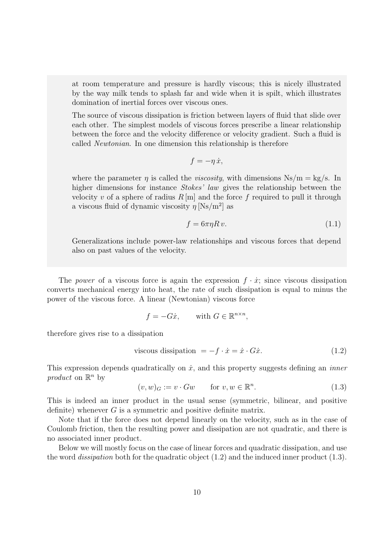at room temperature and pressure is hardly viscous; this is nicely illustrated by the way milk tends to splash far and wide when it is spilt, which illustrates domination of inertial forces over viscous ones.

The source of viscous dissipation is friction between layers of fluid that slide over each other. The simplest models of viscous forces prescribe a linear relationship between the force and the velocity difference or velocity gradient. Such a fluid is called Newtonian. In one dimension this relationship is therefore

$$
f=-\eta\,\dot{x},
$$

where the parameter  $\eta$  is called the *viscosity*, with dimensions Ns/m = kg/s. In higher dimensions for instance *Stokes' law* gives the relationship between the velocity v of a sphere of radius  $R[\text{m}]$  and the force f required to pull it through a viscous fluid of dynamic viscosity  $\eta \,[\mathrm{Ns/m^2}]$  as

<span id="page-10-2"></span>
$$
f = 6\pi\eta R v.\tag{1.1}
$$

Generalizations include power-law relationships and viscous forces that depend also on past values of the velocity.

The power of a viscous force is again the expression  $f \cdot \dot{x}$ ; since viscous dissipation converts mechanical energy into heat, the rate of such dissipation is equal to minus the power of the viscous force. A linear (Newtonian) viscous force

$$
f = -G\dot{x}, \qquad \text{with } G \in \mathbb{R}^{n \times n},
$$

therefore gives rise to a dissipation

<span id="page-10-0"></span>viscous dissipation 
$$
= -f \cdot \dot{x} = \dot{x} \cdot G\dot{x}.
$$
 (1.2)

This expression depends quadratically on  $\dot{x}$ , and this property suggests defining an *inner* product on  $\mathbb{R}^n$  by

<span id="page-10-1"></span>
$$
(v, w)_G := v \cdot Gw \qquad \text{for } v, w \in \mathbb{R}^n. \tag{1.3}
$$

This is indeed an inner product in the usual sense (symmetric, bilinear, and positive definite) whenever  $G$  is a symmetric and positive definite matrix.

Note that if the force does not depend linearly on the velocity, such as in the case of Coulomb friction, then the resulting power and dissipation are not quadratic, and there is no associated inner product.

Below we will mostly focus on the case of linear forces and quadratic dissipation, and use the word *dissipation* both for the quadratic object  $(1.2)$  and the induced inner product  $(1.3)$ .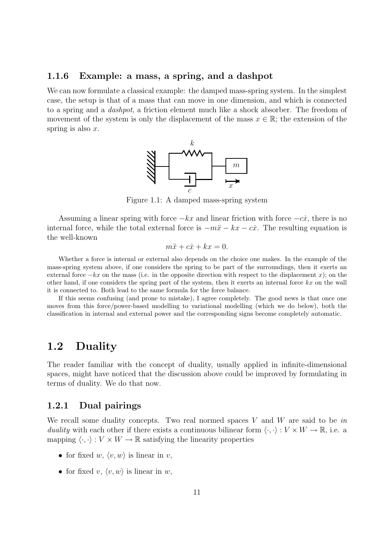#### <span id="page-11-0"></span>1.1.6 Example: a mass, a spring, and a dashpot

We can now formulate a classical example: the damped mass-spring system. In the simplest case, the setup is that of a mass that can move in one dimension, and which is connected to a spring and a dashpot, a friction element much like a shock absorber. The freedom of movement of the system is only the displacement of the mass  $x \in \mathbb{R}$ ; the extension of the spring is also  $x$ .



Figure 1.1: A damped mass-spring system

Assuming a linear spring with force  $-kx$  and linear friction with force  $-c\dot{x}$ , there is no internal force, while the total external force is  $-m\ddot{x} - kx - c\dot{x}$ . The resulting equation is the well-known

$$
m\ddot{x} + c\dot{x} + kx = 0.
$$

Whether a force is internal or external also depends on the choice one makes. In the example of the mass-spring system above, if one considers the spring to be part of the surroundings, then it exerts an external force  $-kx$  on the mass (i.e. in the opposite direction with respect to the displacement x); on the other hand, if one considers the spring part of the system, then it exerts an internal force  $kx$  on the wall it is connected to. Both lead to the same formula for the force balance.

If this seems confusing (and prone to mistake), I agree completely. The good news is that once one moves from this force/power-based modelling to variational modelling (which we do below), both the classification in internal and external power and the corresponding signs become completely automatic.

#### <span id="page-11-1"></span>1.2 Duality

The reader familiar with the concept of duality, usually applied in infinite-dimensional spaces, might have noticed that the discussion above could be improved by formulating in terms of duality. We do that now.

#### <span id="page-11-2"></span>1.2.1 Dual pairings

We recall some duality concepts. Two real normed spaces  $V$  and  $W$  are said to be in duality with each other if there exists a continuous bilinear form  $\langle \cdot, \cdot \rangle : V \times W \to \mathbb{R}$ , i.e. a mapping  $\langle \cdot, \cdot \rangle : V \times W \to \mathbb{R}$  satisfying the linearity properties

- for fixed w,  $\langle v, w \rangle$  is linear in v,
- for fixed v,  $\langle v, w \rangle$  is linear in w,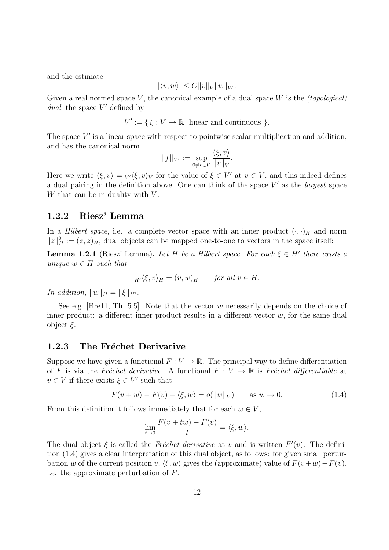and the estimate

$$
|\langle v, w \rangle| \le C ||v||_V ||w||_W.
$$

Given a real normed space  $V$ , the canonical example of a dual space  $W$  is the *(topological)* dual, the space  $V'$  defined by

$$
V' := \{ \xi : V \to \mathbb{R} \text{ linear and continuous } \}.
$$

The space  $V'$  is a linear space with respect to pointwise scalar multiplication and addition, and has the canonical norm

$$
||f||_{V'} := \sup_{0 \neq v \in V} \frac{\langle \xi, v \rangle}{||v||_V}.
$$

Here we write  $\langle \xi, v \rangle = V \langle \xi, v \rangle_V$  for the value of  $\xi \in V'$  at  $v \in V$ , and this indeed defines a dual pairing in the definition above. One can think of the space  $V'$  as the *largest* space W that can be in duality with  $V$ .

#### <span id="page-12-0"></span>1.2.2 Riesz' Lemma

In a *Hilbert space*, i.e. a complete vector space with an inner product  $(\cdot, \cdot)_H$  and norm  $||z||_H^2 := (z, z)_H$ , dual objects can be mapped one-to-one to vectors in the space itself:

<span id="page-12-3"></span>**Lemma 1.2.1** (Riesz' Lemma). Let H be a Hilbert space. For each  $\xi \in H'$  there exists a unique  $w \in H$  such that

$$
_{H'}\langle \xi, v \rangle_H = (v, w)_H \qquad \text{for all } v \in H.
$$

In addition,  $||w||_H = ||\xi||_{H'}$ .

See e.g. [\[Bre11,](#page-48-1) Th. 5.5]. Note that the vector w necessarily depends on the choice of inner product: a different inner product results in a different vector  $w$ , for the same dual object  $\xi$ .

#### <span id="page-12-1"></span>1.2.3 The Fréchet Derivative

Suppose we have given a functional  $F: V \to \mathbb{R}$ . The principal way to define differentiation of F is via the Fréchet derivative. A functional  $F : V \to \mathbb{R}$  is Fréchet differentiable at  $v \in V$  if there exists  $\xi \in V'$  such that

<span id="page-12-2"></span>
$$
F(v+w) - F(v) - \langle \xi, w \rangle = o(||w||_V) \quad \text{as } w \to 0. \tag{1.4}
$$

From this definition it follows immediately that for each  $w \in V$ ,

$$
\lim_{t \to 0} \frac{F(v + tw) - F(v)}{t} = \langle \xi, w \rangle.
$$

The dual object  $\xi$  is called the Fréchet derivative at v and is written  $F'(v)$ . The definition [\(1.4\)](#page-12-2) gives a clear interpretation of this dual object, as follows: for given small perturbation w of the current position v,  $\langle \xi, w \rangle$  gives the (approximate) value of  $F(v+w)-F(v)$ , i.e. the approximate perturbation of F.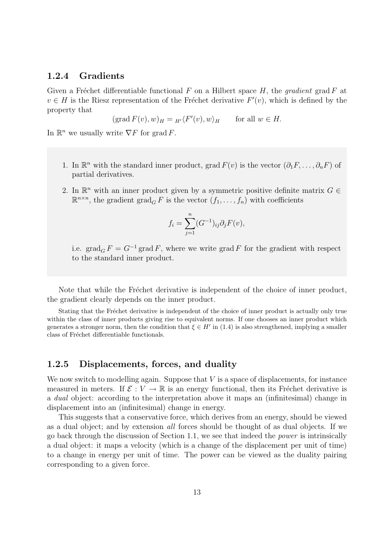#### <span id="page-13-0"></span>1.2.4 Gradients

Given a Fréchet differentiable functional F on a Hilbert space H, the *gradient* grad F at  $v \in H$  is the Riesz representation of the Fréchet derivative  $F'(v)$ , which is defined by the property that

$$
(\text{grad } F(v), w)_H = {}_{H'}\langle F'(v), w \rangle_H
$$
 for all  $w \in H$ .

In  $\mathbb{R}^n$  we usually write  $\nabla F$  for grad F.

- 1. In  $\mathbb{R}^n$  with the standard inner product, grad  $F(v)$  is the vector  $(\partial_1 F, \ldots, \partial_n F)$  of partial derivatives.
- 2. In  $\mathbb{R}^n$  with an inner product given by a symmetric positive definite matrix  $G \in$  $\mathbb{R}^{n \times n}$ , the gradient  $\operatorname{grad}_G F$  is the vector  $(f_1, \ldots, f_n)$  with coefficients

$$
f_i = \sum_{j=1}^n (G^{-1})_{ij} \partial_j F(v),
$$

i.e.  $\operatorname{grad}_G F = G^{-1} \operatorname{grad} F$ , where we write grad F for the gradient with respect to the standard inner product.

Note that while the Fréchet derivative is independent of the choice of inner product, the gradient clearly depends on the inner product.

Stating that the Fréchet derivative is independent of the choice of inner product is actually only true within the class of inner products giving rise to equivalent norms. If one chooses an inner product which generates a stronger norm, then the condition that  $\xi \in H'$  in [\(1.4\)](#page-12-2) is also strengthened, implying a smaller class of Fréchet differentiable functionals.

#### <span id="page-13-1"></span>1.2.5 Displacements, forces, and duality

We now switch to modelling again. Suppose that  $V$  is a space of displacements, for instance measured in meters. If  $\mathcal{E}: V \to \mathbb{R}$  is an energy functional, then its Fréchet derivative is a dual object: according to the interpretation above it maps an (infinitesimal) change in displacement into an (infinitesimal) change in energy.

This suggests that a conservative force, which derives from an energy, should be viewed as a dual object; and by extension all forces should be thought of as dual objects. If we go back through the discussion of Section [1.1,](#page-4-1) we see that indeed the power is intrinsically a dual object: it maps a velocity (which is a change of the displacement per unit of time) to a change in energy per unit of time. The power can be viewed as the duality pairing corresponding to a given force.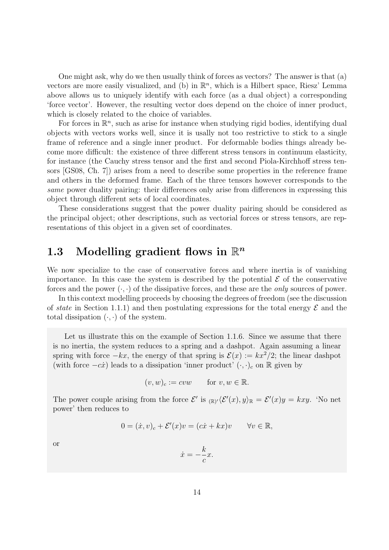One might ask, why do we then usually think of forces as vectors? The answer is that (a) vectors are more easily visualized, and (b) in  $\mathbb{R}^n$ , which is a Hilbert space, Riesz' Lemma above allows us to uniquely identify with each force (as a dual object) a corresponding 'force vector'. However, the resulting vector does depend on the choice of inner product, which is closely related to the choice of variables.

For forces in  $\mathbb{R}^n$ , such as arise for instance when studying rigid bodies, identifying dual objects with vectors works well, since it is usally not too restrictive to stick to a single frame of reference and a single inner product. For deformable bodies things already become more difficult: the existence of three different stress tensors in continuum elasticity, for instance (the Cauchy stress tensor and the first and second Piola-Kirchhoff stress tensors [\[GS08,](#page-49-1) Ch. 7]) arises from a need to describe some properties in the reference frame and others in the deformed frame. Each of the three tensors however corresponds to the same power duality pairing: their differences only arise from differences in expressing this object through different sets of local coordinates.

These considerations suggest that the power duality pairing should be considered as the principal object; other descriptions, such as vectorial forces or stress tensors, are representations of this object in a given set of coordinates.

### <span id="page-14-0"></span>1.3 Modelling gradient flows in  $\mathbb{R}^n$

We now specialize to the case of conservative forces and where inertia is of vanishing importance. In this case the system is described by the potential  $\mathcal E$  of the conservative forces and the power  $(\cdot, \cdot)$  of the dissipative forces, and these are the *only* sources of power.

In this context modelling proceeds by choosing the degrees of freedom (see the discussion of state in Section [1.1.1\)](#page-4-2) and then postulating expressions for the total energy  $\mathcal E$  and the total dissipation  $(\cdot, \cdot)$  of the system.

Let us illustrate this on the example of Section [1.1.6.](#page-11-0) Since we assume that there is no inertia, the system reduces to a spring and a dashpot. Again assuming a linear spring with force  $-kx$ , the energy of that spring is  $\mathcal{E}(x) := kx^2/2$ ; the linear dashpot (with force  $-c\dot{x}$ ) leads to a dissipation 'inner product'  $(\cdot, \cdot)_c$  on R given by

$$
(v, w)_c := cvw
$$
 for  $v, w \in \mathbb{R}$ .

The power couple arising from the force  $\mathcal{E}'$  is  $_{(\mathbb{R})'}\langle \mathcal{E}'(x), y \rangle_{\mathbb{R}} = \mathcal{E}'(x)y = kxy$ . 'No net power' then reduces to

$$
0 = (\dot{x}, v)_c + \mathcal{E}'(x)v = (c\dot{x} + kx)v \qquad \forall v \in \mathbb{R},
$$

or

$$
\dot{x} = -\frac{k}{c}x.
$$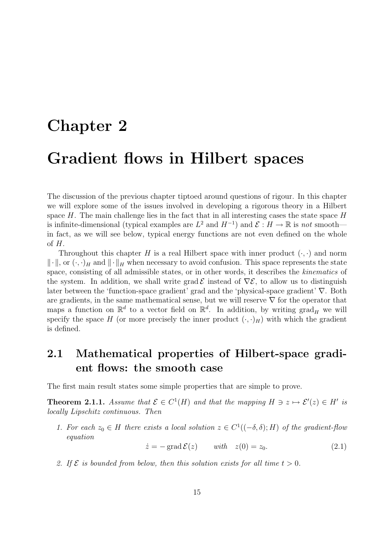# <span id="page-15-0"></span>Chapter 2 Gradient flows in Hilbert spaces

The discussion of the previous chapter tiptoed around questions of rigour. In this chapter we will explore some of the issues involved in developing a rigorous theory in a Hilbert space  $H$ . The main challenge lies in the fact that in all interesting cases the state space  $H$ is infinite-dimensional (typical examples are  $L^2$  and  $H^{-1}$ ) and  $\mathcal{E}: H \to \mathbb{R}$  is not smooth in fact, as we will see below, typical energy functions are not even defined on the whole  $\delta H$ .

Throughout this chapter H is a real Hilbert space with inner product  $(\cdot, \cdot)$  and norm  $\|\cdot\|$ , or  $(\cdot, \cdot)_H$  and  $\|\cdot\|_H$  when necessary to avoid confusion. This space represents the state space, consisting of all admissible states, or in other words, it describes the kinematics of the system. In addition, we shall write grad  $\mathcal{E}$  instead of  $\nabla \mathcal{E}$ , to allow us to distinguish later between the 'function-space gradient' grad and the 'physical-space gradient' ∇. Both are gradients, in the same mathematical sense, but we will reserve  $\nabla$  for the operator that maps a function on  $\mathbb{R}^d$  to a vector field on  $\mathbb{R}^d$ . In addition, by writing  $\text{grad}_H$  we will specify the space H (or more precisely the inner product  $(\cdot, \cdot)$ <sub>H</sub>) with which the gradient is defined.

#### <span id="page-15-1"></span>2.1 Mathematical properties of Hilbert-space gradient flows: the smooth case

The first main result states some simple properties that are simple to prove.

**Theorem 2.1.1.** Assume that  $\mathcal{E} \in C^1(H)$  and that the mapping  $H \ni z \mapsto \mathcal{E}'(z) \in H'$  is locally Lipschitz continuous. Then

<span id="page-15-2"></span>1. For each  $z_0 \in H$  there exists a local solution  $z \in C^1((-\delta, \delta); H)$  of the gradient-flou equation

 $\dot{z} = -\operatorname{grad} \mathcal{E}(z) \quad \text{with} \quad z(0) = z_0.$  (2.1)

<span id="page-15-3"></span>2. If  $\mathcal E$  is bounded from below, then this solution exists for all time  $t > 0$ .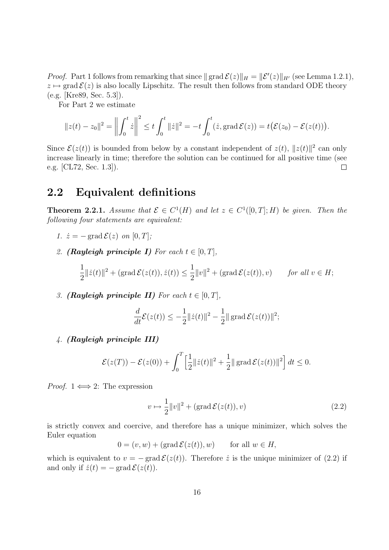*Proof.* Part [1](#page-15-2) follows from remarking that since  $\|\operatorname{grad} \mathcal{E}(z)\|_{H} = \|\mathcal{E}'(z)\|_{H'}$  (see Lemma [1.2.1\)](#page-12-3),  $z \mapsto \text{grad } \mathcal{E}(z)$  is also locally Lipschitz. The result then follows from standard ODE theory (e.g. [\[Kre89,](#page-49-2) Sec. 5.3]).

For Part [2](#page-15-3) we estimate

$$
||z(t) - z_0||^2 = \left\| \int_0^t \dot{z} \right\|^2 \le t \int_0^t ||\dot{z}||^2 = -t \int_0^t (\dot{z}, \text{grad } \mathcal{E}(z)) = t (\mathcal{E}(z_0) - \mathcal{E}(z(t))).
$$

Since  $\mathcal{E}(z(t))$  is bounded from below by a constant independent of  $z(t)$ ,  $||z(t)||^2$  can only increase linearly in time; therefore the solution can be continued for all positive time (see e.g. [\[CL72,](#page-48-2) Sec. 1.3]).  $\Box$ 

#### <span id="page-16-0"></span>2.2 Equivalent definitions

**Theorem 2.2.1.** Assume that  $\mathcal{E} \in C^1(H)$  and let  $z \in C^1([0,T];H)$  be given. Then the following four statements are equivalent:

- <span id="page-16-1"></span>1.  $\dot{z} = -\text{grad } \mathcal{E}(z)$  on  $[0, T]$ ;
- <span id="page-16-2"></span>2. (Rayleigh principle I) For each  $t \in [0, T]$ ,

$$
\frac{1}{2}||\dot{z}(t)||^2 + (\operatorname{grad} \mathcal{E}(z(t)), \dot{z}(t)) \le \frac{1}{2}||v||^2 + (\operatorname{grad} \mathcal{E}(z(t)), v) \quad \text{for all } v \in H;
$$

<span id="page-16-4"></span>3. (Rayleigh principle II) For each  $t \in [0, T]$ ,

$$
\frac{d}{dt}\mathcal{E}(z(t)) \le -\frac{1}{2}||\dot{z}(t)||^2 - \frac{1}{2}||\operatorname{grad}\mathcal{E}(z(t))||^2;
$$

<span id="page-16-5"></span>4. (Rayleigh principle III)

$$
\mathcal{E}(z(T)) - \mathcal{E}(z(0)) + \int_0^T \left[\frac{1}{2} ||\dot{z}(t)||^2 + \frac{1}{2} ||\operatorname{grad} \mathcal{E}(z(t))||^2\right] dt \le 0.
$$

*Proof.*  $1 \iff 2$  $1 \iff 2$ : The expression

<span id="page-16-3"></span>
$$
v \mapsto \frac{1}{2} ||v||^2 + (\text{grad } \mathcal{E}(z(t)), v)
$$
\n(2.2)

is strictly convex and coercive, and therefore has a unique minimizer, which solves the Euler equation

$$
0 = (v, w) + (\text{grad } \mathcal{E}(z(t)), w) \quad \text{for all } w \in H,
$$

which is equivalent to  $v = -\text{grad }\mathcal{E}(z(t))$ . Therefore  $\dot{z}$  is the unique minimizer of [\(2.2\)](#page-16-3) if and only if  $\dot{z}(t) = -\text{grad }\mathcal{E}(z(t)).$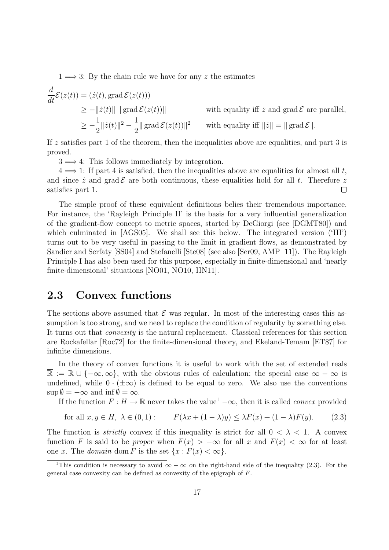$1 \implies 3$  $1 \implies 3$ : By the chain rule we have for any z the estimates

$$
\frac{d}{dt}\mathcal{E}(z(t)) = (\dot{z}(t), \text{grad }\mathcal{E}(z(t)))
$$
\n
$$
\geq -\|\dot{z}(t)\| \|\operatorname{grad }\mathcal{E}(z(t))\|
$$
\nwith equality iff  $\dot{z}$  and grad  $\mathcal{E}$  are parallel,  
\n
$$
\geq -\frac{1}{2}\|\dot{z}(t)\|^2 - \frac{1}{2}\|\operatorname{grad }\mathcal{E}(z(t))\|^2
$$
\nwith equality iff  $\|\dot{z}\| = \|\operatorname{grad }\mathcal{E}\|$ .

If z satisfies part [1](#page-16-1) of the theorem, then the inequalities above are equalities, and part [3](#page-16-4) is proved.

 $3 \implies 4$  $3 \implies 4$ : This follows immediately by integration.

 $4 \implies$  $4 \implies$  [1:](#page-16-1) If part 4 is satisfied, then the inequalities above are equalities for almost all t, and since  $\dot{z}$  and grad  $\mathcal E$  are both continuous, these equalities hold for all t. Therefore z satisfies part [1.](#page-16-1)  $\Box$ 

The simple proof of these equivalent definitions belies their tremendous importance. For instance, the 'Rayleigh Principle II' is the basis for a very influential generalization of the gradient-flow concept to metric spaces, started by DeGiorgi (see [\[DGMT80\]](#page-48-3)) and which culminated in [\[AGS05\]](#page-48-4). We shall see this below. The integrated version ('III') turns out to be very useful in passing to the limit in gradient flows, as demonstrated by Sandier and Serfaty [\[SS04\]](#page-50-1) and Stefanelli [\[Ste08\]](#page-50-2) (see also [\[Ser09,](#page-50-3) [AMP](#page-48-5)<sup>+</sup>11]). The Rayleigh Principle I has also been used for this purpose, especially in finite-dimensional and 'nearly finite-dimensional' situations [\[NO01,](#page-49-3) [NO10,](#page-49-4) [HN11\]](#page-49-5).

#### <span id="page-17-0"></span>2.3 Convex functions

The sections above assumed that  $\mathcal E$  was regular. In most of the interesting cases this assumption is too strong, and we need to replace the condition of regularity by something else. It turns out that convexity is the natural replacement. Classical references for this section are Rockafellar [\[Roc72\]](#page-50-4) for the finite-dimensional theory, and Ekeland-Temam [\[ET87\]](#page-49-6) for infinite dimensions.

In the theory of convex functions it is useful to work with the set of extended reals  $\mathbb{R} := \mathbb{R} \cup \{-\infty, \infty\},\$  with the obvious rules of calculation; the special case  $\infty - \infty$  is undefined, while  $0 \cdot (\pm \infty)$  is defined to be equal to zero. We also use the conventions  $\sup \emptyset = -\infty$  and  $\inf \emptyset = \infty$ .

If the function  $F : H \to \overline{\mathbb{R}}$  never takes the value<sup>[1](#page-17-1)</sup>  $-\infty$ , then it is called *convex* provided

<span id="page-17-2"></span>for all 
$$
x, y \in H
$$
,  $\lambda \in (0, 1)$ :  $F(\lambda x + (1 - \lambda)y) \leq \lambda F(x) + (1 - \lambda)F(y)$ . (2.3)

The function is *strictly* convex if this inequality is strict for all  $0 < \lambda < 1$ . A convex function F is said to be proper when  $F(x) > -\infty$  for all x and  $F(x) < \infty$  for at least one x. The *domain* dom F is the set  $\{x : F(x) < \infty\}.$ 

<span id="page-17-1"></span><sup>&</sup>lt;sup>1</sup>This condition is necessary to avoid  $\infty - \infty$  on the right-hand side of the inequality [\(2.3\)](#page-17-2). For the general case convexity can be defined as convexity of the epigraph of F.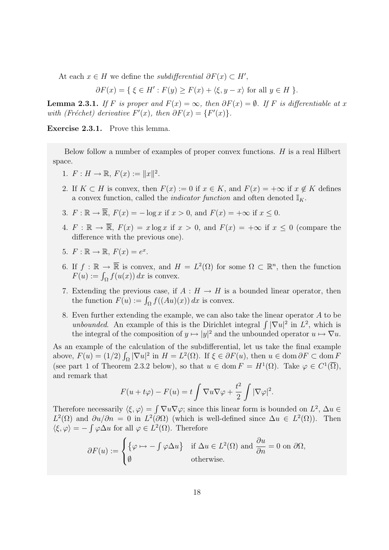At each  $x \in H$  we define the *subdifferential*  $\partial F(x) \subset H'$ ,

$$
\partial F(x) = \{ \xi \in H' : F(y) \ge F(x) + \langle \xi, y - x \rangle \text{ for all } y \in H \}.
$$

**Lemma 2.3.1.** If F is proper and  $F(x) = \infty$ , then  $\partial F(x) = \emptyset$ . If F is differentiable at x with (Fréchet) derivative  $F'(x)$ , then  $\partial F(x) = \{F'(x)\}.$ 

Exercise 2.3.1. Prove this lemma.

Below follow a number of examples of proper convex functions.  $H$  is a real Hilbert space.

- 1.  $F: H \to \mathbb{R}, F(x) := ||x||^2$ .
- 2. If  $K \subset H$  is convex, then  $F(x) := 0$  if  $x \in K$ , and  $F(x) = +\infty$  if  $x \notin K$  defines a convex function, called the *indicator function* and often denoted  $\mathbb{I}_K$ .
- 3.  $F : \mathbb{R} \to \overline{\mathbb{R}}$ ,  $F(x) = -\log x$  if  $x > 0$ , and  $F(x) = +\infty$  if  $x \leq 0$ .
- 4.  $F : \mathbb{R} \to \overline{\mathbb{R}}, F(x) = x \log x$  if  $x > 0$ , and  $F(x) = +\infty$  if  $x \le 0$  (compare the difference with the previous one).
- 5.  $F: \mathbb{R} \to \mathbb{R}, F(x) = e^x$ .
- 6. If  $f : \mathbb{R} \to \overline{\mathbb{R}}$  is convex, and  $H = L^2(\Omega)$  for some  $\Omega \subset \mathbb{R}^n$ , then the function  $F(u) := \int_{\Omega} f(u(x)) dx$  is convex.
- 7. Extending the previous case, if  $A : H \to H$  is a bounded linear operator, then the function  $F(u) := \int_{\Omega} f((Au)(x)) dx$  is convex.
- <span id="page-18-0"></span>8. Even further extending the example, we can also take the linear operator A to be unbounded. An example of this is the Dirichlet integral  $\int |\nabla u|^2$  in  $L^2$ , which is the integral of the composition of  $y \mapsto |y|^2$  and the unbounded operator  $u \mapsto \nabla u$ .

As an example of the calculation of the subdifferential, let us take the final example above,  $F(u) = (1/2) \int_{\Omega} |\nabla u|^2$  in  $H = L^2(\Omega)$ . If  $\xi \in \partial F(u)$ , then  $u \in \text{dom } \partial F \subset \text{dom } F$ (see part [1](#page-19-1) of Theorem [2.3.2](#page-19-2) below), so that  $u \in \text{dom } F = H^1(\Omega)$ . Take  $\varphi \in C^1(\overline{\Omega})$ , and remark that

$$
F(u + t\varphi) - F(u) = t \int \nabla u \nabla \varphi + \frac{t^2}{2} \int |\nabla \varphi|^2.
$$

Therefore necessarily  $\langle \xi, \varphi \rangle = \int \nabla u \nabla \varphi$ ; since this linear form is bounded on  $L^2$ ,  $\Delta u \in$  $L^2(\Omega)$  and  $\partial u/\partial n = 0$  in  $L^2(\partial\Omega)$  (which is well-defined since  $\Delta u \in L^2(\Omega)$ ). Then  $\langle \xi, \varphi \rangle = - \int \varphi \Delta u$  for all  $\varphi \in L^2(\Omega)$ . Therefore

$$
\partial F(u) := \begin{cases} \{ \varphi \mapsto -\int \varphi \Delta u \} & \text{if } \Delta u \in L^2(\Omega) \text{ and } \frac{\partial u}{\partial n} = 0 \text{ on } \partial \Omega, \\ \emptyset & \text{otherwise.} \end{cases}
$$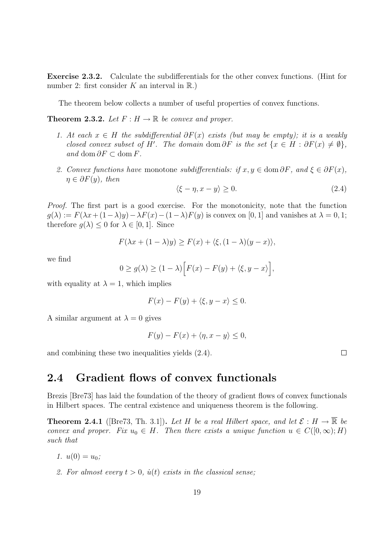Exercise 2.3.2. Calculate the subdifferentials for the other convex functions. (Hint for number 2: first consider K an interval in  $\mathbb{R}$ .)

The theorem below collects a number of useful properties of convex functions.

<span id="page-19-2"></span><span id="page-19-1"></span>**Theorem 2.3.2.** Let  $F: H \to \mathbb{R}$  be convex and proper.

- 1. At each  $x \in H$  the subdifferential  $\partial F(x)$  exists (but may be empty); it is a weakly closed convex subset of H'. The domain dom  $\partial F$  is the set  $\{x \in H : \partial F(x) \neq \emptyset\},\$ and dom  $\partial F \subset$  dom F.
- 2. Convex functions have monotone subdifferentials: if  $x, y \in \text{dom } \partial F$ , and  $\xi \in \partial F(x)$ ,  $\eta \in \partial F(y)$ , then

<span id="page-19-3"></span>
$$
\langle \xi - \eta, x - y \rangle \ge 0. \tag{2.4}
$$

Proof. The first part is a good exercise. For the monotonicity, note that the function  $g(\lambda) := F(\lambda x + (1-\lambda)y) - \lambda F(x) - (1-\lambda)F(y)$  is convex on [0, 1] and vanishes at  $\lambda = 0, 1$ ; therefore  $g(\lambda) \leq 0$  for  $\lambda \in [0,1]$ . Since

$$
F(\lambda x + (1 - \lambda)y) \ge F(x) + \langle \xi, (1 - \lambda)(y - x) \rangle,
$$

we find

$$
0 \ge g(\lambda) \ge (1 - \lambda) \Big[ F(x) - F(y) + \langle \xi, y - x \rangle \Big],
$$

with equality at  $\lambda = 1$ , which implies

$$
F(x) - F(y) + \langle \xi, y - x \rangle \le 0.
$$

A similar argument at  $\lambda = 0$  gives

$$
F(y) - F(x) + \langle \eta, x - y \rangle \le 0,
$$

and combining these two inequalities yields [\(2.4\)](#page-19-3).

#### <span id="page-19-0"></span>2.4 Gradient flows of convex functionals

Brezis [\[Bre73\]](#page-48-6) has laid the foundation of the theory of gradient flows of convex functionals in Hilbert spaces. The central existence and uniqueness theorem is the following.

<span id="page-19-4"></span>**Theorem 2.4.1** ([\[Bre73,](#page-48-6) Th. 3.1]). Let H be a real Hilbert space, and let  $\mathcal{E}: H \to \overline{\mathbb{R}}$  be convex and proper. Fix  $u_0 \in H$ . Then there exists a unique function  $u \in C([0,\infty);H)$ such that

- 1.  $u(0) = u_0$ ;
- 2. For almost every  $t > 0$ ,  $\dot{u}(t)$  exists in the classical sense;

 $\Box$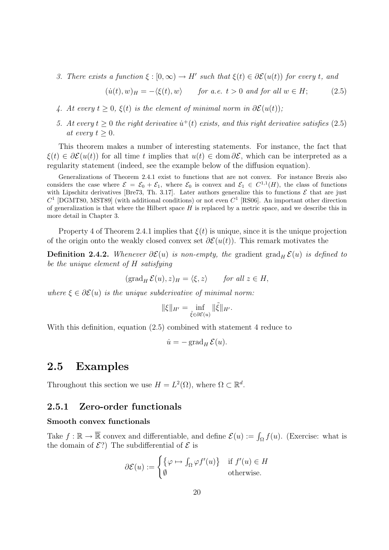3. There exists a function  $\xi : [0, \infty) \to H'$  such that  $\xi(t) \in \partial \mathcal{E}(u(t))$  for every t, and

<span id="page-20-2"></span>
$$
(\dot{u}(t), w)_{H} = -\langle \xi(t), w \rangle \quad \text{for a.e. } t > 0 \text{ and for all } w \in H; \quad (2.5)
$$

- <span id="page-20-3"></span>4. At every  $t \geq 0$ ,  $\xi(t)$  is the element of minimal norm in  $\partial \mathcal{E}(u(t))$ ;
- 5. At every  $t \geq 0$  the right derivative  $\dot{u}^+(t)$  exists, and this right derivative satisfies [\(2.5\)](#page-20-2) at every  $t \geq 0$ .

This theorem makes a number of interesting statements. For instance, the fact that  $\xi(t) \in \partial \mathcal{E}(u(t))$  for all time t implies that  $u(t) \in \text{dom }\partial \mathcal{E}$ , which can be interpreted as a regularity statement (indeed, see the example below of the diffusion equation).

Generalizations of Theorem [2.4.1](#page-19-4) exist to functions that are not convex. For instance Brezis also considers the case where  $\mathcal{E} = \mathcal{E}_0 + \mathcal{E}_1$ , where  $\mathcal{E}_0$  is convex and  $\mathcal{E}_1 \in C^{1,1}(H)$ , the class of functions with Lipschitz derivatives [\[Bre73,](#page-48-6) Th. 3.17]. Later authors generalize this to functions  $\mathcal E$  that are just  $C<sup>1</sup>$  [\[DGMT80,](#page-48-3) [MST89\]](#page-49-7) (with additional conditions) or not even  $C<sup>1</sup>$  [\[RS06\]](#page-50-5). An important other direction of generalization is that where the Hilbert space  $H$  is replaced by a metric space, and we describe this in more detail in Chapter [3.](#page-24-0)

Property [4](#page-20-3) of Theorem [2.4.1](#page-19-4) implies that  $\xi(t)$  is unique, since it is the unique projection of the origin onto the weakly closed convex set  $\partial \mathcal{E}(u(t))$ . This remark motivates the

<span id="page-20-4"></span>**Definition 2.4.2.** Whenever  $\partial \mathcal{E}(u)$  is non-empty, the gradient grad<sub>H</sub>  $\mathcal{E}(u)$  is defined to be the unique element of H satisfying

 $(\text{grad}_{H} \mathcal{E}(u), z)_{H} = \langle \xi, z \rangle$  for all  $z \in H$ ,

where  $\xi \in \partial \mathcal{E}(u)$  is the unique subderivative of minimal norm:

$$
\|\xi\|_{H'} = \inf_{\tilde{\xi} \in \partial \mathcal{E}(u)} \|\tilde{\xi}\|_{H'}.
$$

With this definition, equation [\(2.5\)](#page-20-2) combined with statement [4](#page-20-3) reduce to

$$
\dot{u} = -\operatorname{grad}_H \mathcal{E}(u).
$$

#### <span id="page-20-0"></span>2.5 Examples

Throughout this section we use  $H = L^2(\Omega)$ , where  $\Omega \subset \mathbb{R}^d$ .

#### <span id="page-20-1"></span>2.5.1 Zero-order functionals

#### Smooth convex functionals

Take  $f : \mathbb{R} \to \overline{\mathbb{R}}$  convex and differentiable, and define  $\mathcal{E}(u) := \int_{\Omega} f(u)$ . (Exercise: what is the domain of  $\mathcal{E}$ ?) The subdifferential of  $\mathcal E$  is

$$
\partial \mathcal{E}(u) := \begin{cases} \{ \varphi \mapsto \int_{\Omega} \varphi f'(u) \} & \text{if } f'(u) \in H \\ \emptyset & \text{otherwise.} \end{cases}
$$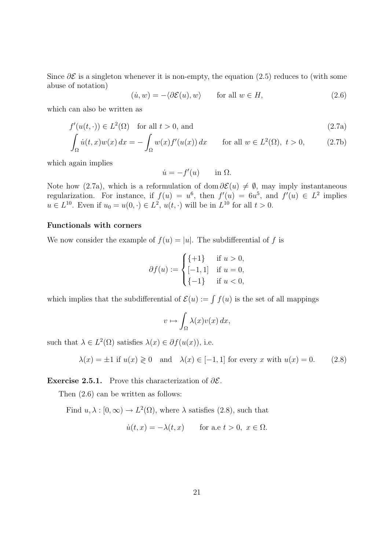Since  $\partial \mathcal{E}$  is a singleton whenever it is non-empty, the equation [\(2.5\)](#page-20-2) reduces to (with some abuse of notation)

<span id="page-21-1"></span>
$$
(\dot{u}, w) = -\langle \partial \mathcal{E}(u), w \rangle \quad \text{for all } w \in H,
$$
\n
$$
(2.6)
$$

which can also be written as

$$
f'(u(t, \cdot)) \in L^{2}(\Omega) \quad \text{for all } t > 0, \text{ and}
$$
  

$$
\int_{\Omega} \dot{u}(t, x)w(x) dx = -\int_{\Omega} w(x)f'(u(x)) dx \quad \text{for all } w \in L^{2}(\Omega), t > 0,
$$
 (2.7b)

which again implies

<span id="page-21-0"></span> $\dot{u} = -f'(u) \quad \text{in } \Omega.$ 

Note how [\(2.7a\)](#page-21-0), which is a reformulation of dom  $\partial \mathcal{E}(u) \neq \emptyset$ , may imply instantaneous regularization. For instance, if  $f(u) = u^6$ , then  $f'(u) = 6u^5$ , and  $f'(u) \in L^2$  implies  $u \in L^{10}$ . Even if  $u_0 = u(0, \cdot) \in L^2$ ,  $u(t, \cdot)$  will be in  $L^{10}$  for all  $t > 0$ .

#### Functionals with corners

We now consider the example of  $f(u) = |u|$ . The subdifferential of f is

$$
\partial f(u) := \begin{cases} \{+1\} & \text{if } u > 0, \\ [-1, 1] & \text{if } u = 0, \\ \{-1\} & \text{if } u < 0, \end{cases}
$$

which implies that the subdifferential of  $\mathcal{E}(u) := \int f(u)$  is the set of all mappings

$$
v \mapsto \int_{\Omega} \lambda(x) v(x) \, dx,
$$

such that  $\lambda \in L^2(\Omega)$  satisfies  $\lambda(x) \in \partial f(u(x))$ , i.e.

<span id="page-21-2"></span>
$$
\lambda(x) = \pm 1 \text{ if } u(x) \geq 0 \quad \text{and} \quad \lambda(x) \in [-1, 1] \text{ for every } x \text{ with } u(x) = 0. \tag{2.8}
$$

Exercise 2.5.1. Prove this characterization of  $\partial \mathcal{E}$ .

Then [\(2.6\)](#page-21-1) can be written as follows:

Find  $u, \lambda : [0, \infty) \to L^2(\Omega)$ , where  $\lambda$  satisfies [\(2.8\)](#page-21-2), such that

$$
\dot{u}(t,x) = -\lambda(t,x) \quad \text{for a.e } t > 0, \ x \in \Omega.
$$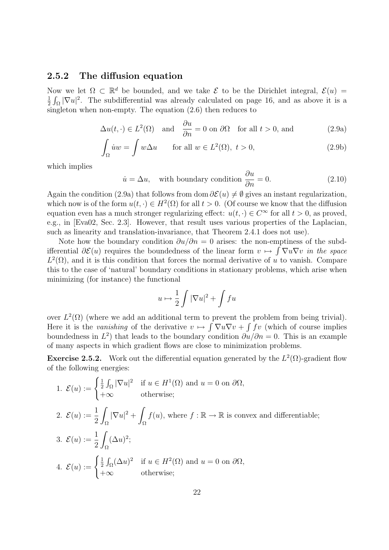#### <span id="page-22-0"></span>2.5.2 The diffusion equation

Now we let  $\Omega \subset \mathbb{R}^d$  be bounded, and we take  $\mathcal E$  to be the Dirichlet integral,  $\mathcal E(u)$ 1  $\frac{1}{2} \int_{\Omega} |\nabla u|^2$ . The subdifferential was already calculated on page [16,](#page-18-0) and as above it is a singleton when non-empty. The equation [\(2.6\)](#page-21-1) then reduces to

$$
\Delta u(t, \cdot) \in L^2(\Omega) \quad \text{and} \quad \frac{\partial u}{\partial n} = 0 \text{ on } \partial \Omega \quad \text{for all } t > 0 \text{, and} \tag{2.9a}
$$

$$
\int_{\Omega} \dot{u}w = \int w\Delta u \qquad \text{for all } w \in L^{2}(\Omega), \ t > 0,
$$
\n(2.9b)

which implies

<span id="page-22-1"></span>
$$
\dot{u} = \Delta u, \quad \text{with boundary condition } \frac{\partial u}{\partial n} = 0. \tag{2.10}
$$

Again the condition [\(2.9a\)](#page-22-1) that follows from dom  $\partial \mathcal{E}(u) \neq \emptyset$  gives an instant regularization, which now is of the form  $u(t, \cdot) \in H^2(\Omega)$  for all  $t > 0$ . (Of course we know that the diffusion equation even has a much stronger regularizing effect:  $u(t, \cdot) \in C^{\infty}$  for all  $t > 0$ , as proved, e.g., in [\[Eva02,](#page-49-8) Sec. 2.3]. However, that result uses various properties of the Laplacian, such as linearity and translation-invariance, that Theorem [2.4.1](#page-19-4) does not use).

Note how the boundary condition  $\partial u/\partial n = 0$  arises: the non-emptiness of the subdifferential  $\partial \mathcal{E}(u)$  requires the boundedness of the linear form  $v \mapsto \int \nabla u \nabla v$  in the space  $L^2(\Omega)$ , and it is this condition that forces the normal derivative of u to vanish. Compare this to the case of 'natural' boundary conditions in stationary problems, which arise when minimizing (for instance) the functional

$$
u \mapsto \frac{1}{2} \int |\nabla u|^2 + \int fu
$$

over  $L^2(\Omega)$  (where we add an additional term to prevent the problem from being trivial). Here it is the vanishing of the derivative  $v \mapsto \int \nabla u \nabla v + \int f v$  (which of course implies boundedness in  $L^2$ ) that leads to the boundary condition  $\partial u/\partial n = 0$ . This is an example of many aspects in which gradient flows are close to minimization problems.

**Exercise 2.5.2.** Work out the differential equation generated by the  $L^2(\Omega)$ -gradient flow of the following energies:

1. 
$$
\mathcal{E}(u) := \begin{cases} \frac{1}{2} \int_{\Omega} |\nabla u|^2 & \text{if } u \in H^1(\Omega) \text{ and } u = 0 \text{ on } \partial\Omega, \\ +\infty & \text{otherwise;} \end{cases}
$$
  
\n2.  $\mathcal{E}(u) := \frac{1}{2} \int_{\Omega} |\nabla u|^2 + \int_{\Omega} f(u), \text{ where } f : \mathbb{R} \to \mathbb{R} \text{ is convex and differentiable;}$   
\n3.  $\mathcal{E}(u) := \frac{1}{2} \int_{\Omega} (\Delta u)^2;$   
\n4.  $\mathcal{E}(u) := \begin{cases} \frac{1}{2} \int_{\Omega} (\Delta u)^2 & \text{if } u \in H^2(\Omega) \text{ and } u = 0 \text{ on } \partial\Omega, \\ +\infty & \text{otherwise;} \end{cases}$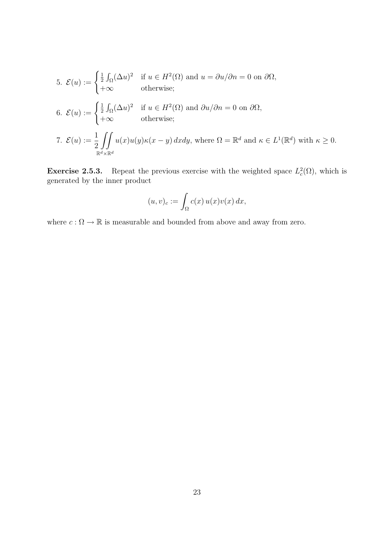5. 
$$
\mathcal{E}(u) := \begin{cases} \frac{1}{2} \int_{\Omega} (\Delta u)^2 & \text{if } u \in H^2(\Omega) \text{ and } u = \partial u / \partial n = 0 \text{ on } \partial \Omega, \\ +\infty & \text{otherwise}; \end{cases}
$$
  
6. 
$$
\mathcal{E}(u) := \begin{cases} \frac{1}{2} \int_{\Omega} (\Delta u)^2 & \text{if } u \in H^2(\Omega) \text{ and } \partial u / \partial n = 0 \text{ on } \partial \Omega, \\ +\infty & \text{otherwise}; \end{cases}
$$
  
7. 
$$
\mathcal{E}(u) := \frac{1}{2} \iint_{\mathbb{R}^d \times \mathbb{R}^d} u(x) u(y) \kappa(x - y) dx dy, \text{ where } \Omega = \mathbb{R}^d \text{ and } \kappa \in L^1(\mathbb{R}^d) \text{ with } \kappa \ge 0.
$$

**Exercise 2.5.3.** Repeat the previous exercise with the weighted space  $L_c^2(\Omega)$ , which is generated by the inner product

$$
(u,v)_c := \int_{\Omega} c(x) u(x) v(x) dx,
$$

where  $c:\Omega\rightarrow\mathbb{R}$  is measurable and bounded from above and away from zero.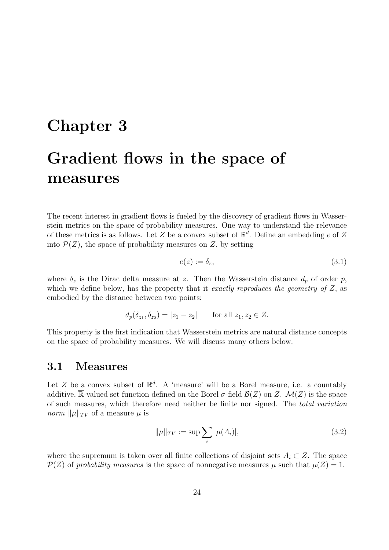# <span id="page-24-0"></span>Chapter 3 Gradient flows in the space of measures

The recent interest in gradient flows is fueled by the discovery of gradient flows in Wasserstein metrics on the space of probability measures. One way to understand the relevance of these metrics is as follows. Let Z be a convex subset of  $\mathbb{R}^d$ . Define an embedding e of Z into  $\mathcal{P}(Z)$ , the space of probability measures on Z, by setting

<span id="page-24-2"></span>
$$
e(z) := \delta_z,\tag{3.1}
$$

where  $\delta_z$  is the Dirac delta measure at z. Then the Wasserstein distance  $d_p$  of order p, which we define below, has the property that it exactly reproduces the geometry of  $Z$ , as embodied by the distance between two points:

$$
d_p(\delta_{z_1}, \delta_{z_2}) = |z_1 - z_2|
$$
 for all  $z_1, z_2 \in Z$ .

This property is the first indication that Wasserstein metrics are natural distance concepts on the space of probability measures. We will discuss many others below.

#### <span id="page-24-1"></span>3.1 Measures

Let Z be a convex subset of  $\mathbb{R}^d$ . A 'measure' will be a Borel measure, i.e. a countably additive, R-valued set function defined on the Borel  $\sigma$ -field  $\mathcal{B}(Z)$  on Z.  $\mathcal{M}(Z)$  is the space of such measures, which therefore need neither be finite nor signed. The total variation *norm*  $\|\mu\|_{TV}$  of a measure  $\mu$  is

<span id="page-24-3"></span>
$$
\|\mu\|_{TV} := \sup \sum_{i} |\mu(A_i)|,\tag{3.2}
$$

where the supremum is taken over all finite collections of disjoint sets  $A_i \subset Z$ . The space  $\mathcal{P}(Z)$  of probability measures is the space of nonnegative measures  $\mu$  such that  $\mu(Z) = 1$ .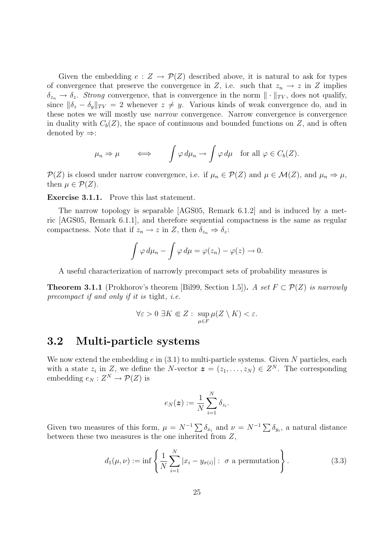Given the embedding  $e: Z \to \mathcal{P}(Z)$  described above, it is natural to ask for types of convergence that preserve the convergence in Z, i.e. such that  $z_n \to z$  in Z implies  $\delta_{z_n} \to \delta_z$ . Strong convergence, that is convergence in the norm  $\|\cdot\|_{TV}$ , does not qualify, since  $\|\delta_z - \delta_y\|_{TV} = 2$  whenever  $z \neq y$ . Various kinds of weak convergence do, and in these notes we will mostly use narrow convergence. Narrow convergence is convergence in duality with  $C_b(Z)$ , the space of continuous and bounded functions on Z, and is often denoted by  $\Rightarrow$ :

$$
\mu_n \Rightarrow \mu \iff \int \varphi \, d\mu_n \to \int \varphi \, d\mu \quad \text{for all } \varphi \in C_b(Z).
$$

 $\mathcal{P}(Z)$  is closed under narrow convergence, i.e. if  $\mu_n \in \mathcal{P}(Z)$  and  $\mu \in \mathcal{M}(Z)$ , and  $\mu_n \Rightarrow \mu$ , then  $\mu \in \mathcal{P}(Z)$ .

Exercise 3.1.1. Prove this last statement.

The narrow topology is separable [\[AGS05,](#page-48-4) Remark 6.1.2] and is induced by a metric [\[AGS05,](#page-48-4) Remark 6.1.1], and therefore sequential compactness is the same as regular compactness. Note that if  $z_n \to z$  in Z, then  $\delta_{z_n} \Rightarrow \delta_z$ :

$$
\int \varphi \, d\mu_n - \int \varphi \, d\mu = \varphi(z_n) - \varphi(z) \to 0.
$$

A useful characterization of narrowly precompact sets of probability measures is

**Theorem 3.1.1** (Prokhorov's theorem [\[Bil99,](#page-48-7) Section 1.5]). A set  $F \subset \mathcal{P}(Z)$  is narrowly precompact if and only if it is tight, i.e.

$$
\forall \varepsilon > 0 \; \exists K \Subset Z : \; \sup_{\mu \in F} \mu(Z \setminus K) < \varepsilon.
$$

#### <span id="page-25-0"></span>3.2 Multi-particle systems

We now extend the embedding  $e$  in  $(3.1)$  to multi-particle systems. Given N particles, each with a state  $z_i$  in Z, we define the N-vector  $\boldsymbol{z} = (z_1, \ldots, z_N) \in Z^N$ . The corresponding embedding  $e_N: Z^N \to \mathcal{P}(Z)$  is

$$
e_N(\boldsymbol{z}) := \frac{1}{N} \sum_{i=1}^N \delta_{z_i}.
$$

Given two measures of this form,  $\mu = N^{-1} \sum \delta_{x_i}$  and  $\nu = N^{-1} \sum \delta_{y_i}$ , a natural distance between these two measures is the one inherited from  $Z$ ,

<span id="page-25-1"></span>
$$
d_1(\mu, \nu) := \inf \left\{ \frac{1}{N} \sum_{i=1}^N |x_i - y_{\sigma(i)}| : \sigma \text{ a permutation} \right\}.
$$
 (3.3)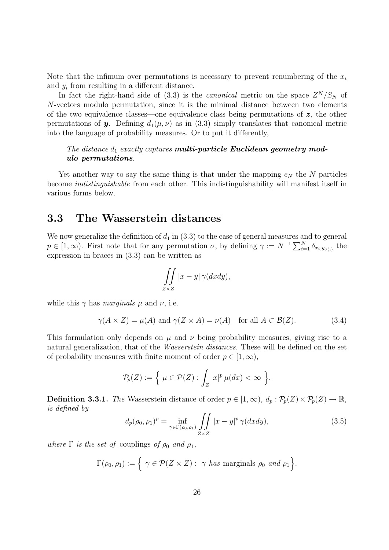Note that the infimum over permutations is necessary to prevent renumbering of the  $x_i$ and  $y_i$  from resulting in a different distance.

In fact the right-hand side of [\(3.3\)](#page-25-1) is the *canonical* metric on the space  $Z^N/S_N$  of N-vectors modulo permutation, since it is the minimal distance between two elements of the two equivalence classes—one equivalence class being permutations of  $z$ , the other permutations of **y**. Defining  $d_1(\mu, \nu)$  as in [\(3.3\)](#page-25-1) simply translates that canonical metric into the language of probability measures. Or to put it differently,

#### The distance  $d_1$  exactly captures **multi-particle Euclidean geometry mod**ulo permutations.

Yet another way to say the same thing is that under the mapping  $e_N$  the N particles become indistinguishable from each other. This indistinguishability will manifest itself in various forms below.

#### <span id="page-26-0"></span>3.3 The Wasserstein distances

We now generalize the definition of  $d_1$  in [\(3.3\)](#page-25-1) to the case of general measures and to general  $p \in [1,\infty)$ . First note that for any permutation  $\sigma$ , by defining  $\gamma := N^{-1} \sum_{i=1}^{N} \delta_{x_i,y_{\sigma(i)}}$  the expression in braces in [\(3.3\)](#page-25-1) can be written as

$$
\iint\limits_{Z\times Z} |x-y| \,\gamma(dxdy),
$$

while this  $\gamma$  has marginals  $\mu$  and  $\nu$ , i.e.

$$
\gamma(A \times Z) = \mu(A)
$$
 and  $\gamma(Z \times A) = \nu(A)$  for all  $A \subset \mathcal{B}(Z)$ . (3.4)

This formulation only depends on  $\mu$  and  $\nu$  being probability measures, giving rise to a natural generalization, that of the Wasserstein distances. These will be defined on the set of probability measures with finite moment of order  $p \in [1,\infty)$ ,

$$
\mathcal{P}_p(Z) := \left\{ \ \mu \in \mathcal{P}(Z) : \int_Z |x|^p \, \mu(dx) < \infty \ \right\}.
$$

<span id="page-26-2"></span>**Definition 3.3.1.** The Wasserstein distance of order  $p \in [1,\infty)$ ,  $d_p : \mathcal{P}_p(Z) \times \mathcal{P}_p(Z) \to \mathbb{R}$ , is defined by

<span id="page-26-1"></span>
$$
d_p(\rho_0, \rho_1)^p = \inf_{\gamma \in \Gamma(\rho_0, \rho_1)} \iint_{Z \times Z} |x - y|^p \, \gamma(dxdy),\tag{3.5}
$$

where  $\Gamma$  is the set of couplings of  $\rho_0$  and  $\rho_1$ ,

$$
\Gamma(\rho_0,\rho_1):=\Big\{\ \gamma\in\mathcal{P}(Z\times Z): \ \gamma\ has\ marginals\ \rho_0\ and\ \rho_1\Big\}.
$$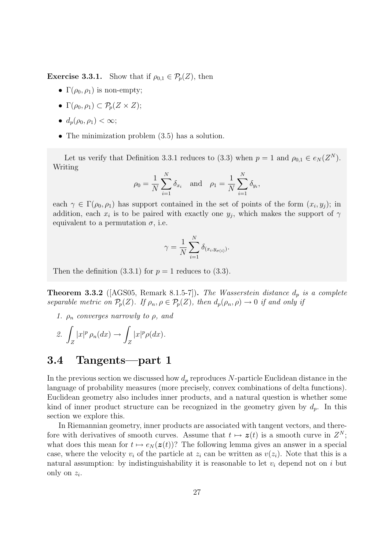**Exercise 3.3.1.** Show that if  $\rho_{0,1} \in \mathcal{P}_p(Z)$ , then

- $\Gamma(\rho_0, \rho_1)$  is non-empty;
- $\Gamma(\rho_0, \rho_1) \subset \mathcal{P}_p(Z \times Z);$
- $d_n(\rho_0, \rho_1) < \infty;$
- The minimization problem  $(3.5)$  has a solution.

Let us verify that Definition [3.3.1](#page-26-2) reduces to [\(3.3\)](#page-25-1) when  $p = 1$  and  $\rho_{0,1} \in e_N(Z^N)$ . Writing

$$
\rho_0 = \frac{1}{N} \sum_{i=1}^N \delta_{x_i}
$$
 and  $\rho_1 = \frac{1}{N} \sum_{i=1}^N \delta_{y_i}$ ,

each  $\gamma \in \Gamma(\rho_0, \rho_1)$  has support contained in the set of points of the form  $(x_i, y_j)$ ; in addition, each  $x_i$  is to be paired with exactly one  $y_j$ , which makes the support of  $\gamma$ equivalent to a permutation  $\sigma$ , i.e.

$$
\gamma = \frac{1}{N} \sum_{i=1}^{N} \delta_{(x_i, y_{\sigma(i)})}.
$$

Then the definition  $(3.3.1)$  for  $p = 1$  reduces to  $(3.3)$ .

**Theorem 3.3.2** ( $[AGS05, Remark 8.1.5-7]$  $[AGS05, Remark 8.1.5-7]$ ). The Wasserstein distance  $d_p$  is a complete separable metric on  $\mathcal{P}_p(Z)$ . If  $\rho_n, \rho \in \mathcal{P}_p(Z)$ , then  $d_p(\rho_n, \rho) \to 0$  if and only if

1.  $\rho_n$  converges narrowly to  $\rho$ , and

$$
\mathcal{Z}.\,\int_Z |x|^p \,\rho_n(dx) \to \int_Z |x|^p \rho(dx).
$$

#### <span id="page-27-0"></span>3.4 Tangents—part 1

In the previous section we discussed how  $d_p$  reproduces N-particle Euclidean distance in the language of probability measures (more precisely, convex combinations of delta functions). Euclidean geometry also includes inner products, and a natural question is whether some kind of inner product structure can be recognized in the geometry given by  $d_p$ . In this section we explore this.

In Riemannian geometry, inner products are associated with tangent vectors, and therefore with derivatives of smooth curves. Assume that  $t \mapsto z(t)$  is a smooth curve in  $Z^N$ ; what does this mean for  $t \mapsto e_N(z(t))$ ? The following lemma gives an answer in a special case, where the velocity  $v_i$  of the particle at  $z_i$  can be written as  $v(z_i)$ . Note that this is a natural assumption: by indistinguishability it is reasonable to let  $v_i$  depend not on i but only on  $z_i$ .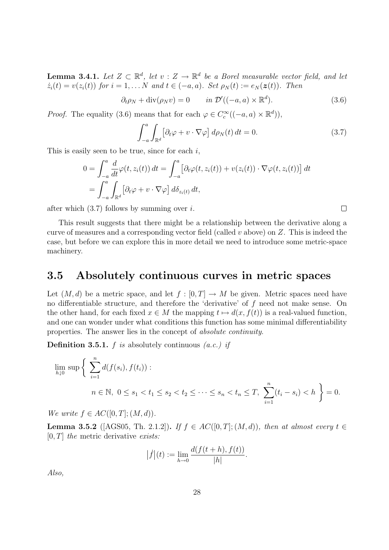**Lemma 3.4.1.** Let  $Z \subset \mathbb{R}^d$ , let  $v : Z \to \mathbb{R}^d$  be a Borel measurable vector field, and let  $\dot{z}_i(t) = v(z_i(t))$  for  $i = 1, \ldots N$  and  $t \in (-a, a)$ . Set  $\rho_N(t) := e_N(\boldsymbol{z}(t))$ . Then

> <span id="page-28-1"></span> $\partial_t \rho_N + \text{div}(\rho_N v) = 0$  in  $\mathcal{D}'((-a, a) \times \mathbb{R}^d)$  $(3.6)$

*Proof.* The equality [\(3.6\)](#page-28-1) means that for each  $\varphi \in C_c^{\infty}((-a, a) \times \mathbb{R}^d)$ ,

<span id="page-28-2"></span>
$$
\int_{-a}^{a} \int_{\mathbb{R}^d} \left[ \partial_t \varphi + v \cdot \nabla \varphi \right] d\rho_N(t) dt = 0.
$$
 (3.7)

This is easily seen to be true, since for each  $i$ ,

$$
0 = \int_{-a}^{a} \frac{d}{dt} \varphi(t, z_i(t)) dt = \int_{-a}^{a} \left[ \partial_t \varphi(t, z_i(t)) + v(z_i(t)) \cdot \nabla \varphi(t, z_i(t)) \right] dt
$$
  
= 
$$
\int_{-a}^{a} \int_{\mathbb{R}^d} \left[ \partial_t \varphi + v \cdot \nabla \varphi \right] d\delta_{z_i(t)} dt,
$$

after which  $(3.7)$  follows by summing over i.

This result suggests that there might be a relationship between the derivative along a curve of measures and a corresponding vector field (called  $v$  above) on  $Z$ . This is indeed the case, but before we can explore this in more detail we need to introduce some metric-space machinery.

#### <span id="page-28-0"></span>3.5 Absolutely continuous curves in metric spaces

Let  $(M, d)$  be a metric space, and let  $f : [0, T] \to M$  be given. Metric spaces need have no differentiable structure, and therefore the 'derivative' of f need not make sense. On the other hand, for each fixed  $x \in M$  the mapping  $t \mapsto d(x, f(t))$  is a real-valued function, and one can wonder under what conditions this function has some minimal differentiability properties. The answer lies in the concept of absolute continuity.

**Definition 3.5.1.** f is absolutely continuous  $(a.c.)$  if

$$
\lim_{h \downarrow 0} \sup \left\{ \sum_{i=1}^n d(f(s_i), f(t_i)) : n \in \mathbb{N}, \ 0 \le s_1 < t_1 \le s_2 < t_2 \le \dots \le s_n < t_n \le T, \ \sum_{i=1}^n (t_i - s_i) < h \right\} = 0.
$$

We write  $f \in AC([0,T]; (M,d)).$ 

**Lemma 3.5.2** ([\[AGS05,](#page-48-4) Th. 2.1.2]). If  $f \in AC([0,T]; (M,d))$ , then at almost every  $t \in$  $[0, T]$  the metric derivative exists:

$$
|f|(t) := \lim_{h \to 0} \frac{d(f(t+h), f(t))}{|h|}.
$$

Also,

 $\Box$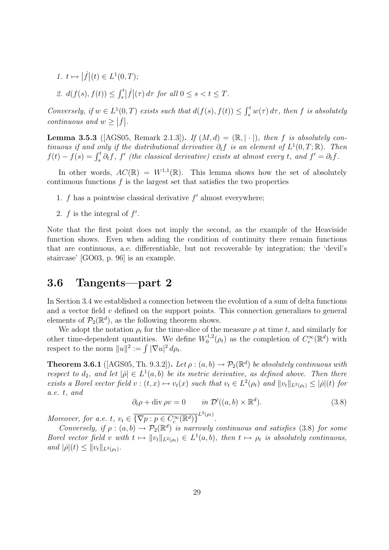1.  $t \mapsto |\dot{f}|(t) \in L^1(0,T);$ 

$$
\text{2. } d(f(s), f(t)) \le \int_s^t \left| \dot{f} \right|(\tau) \, d\tau \text{ for all } 0 \le s < t \le T.
$$

Conversely, if  $w \in L^1(0,T)$  exists such that  $d(f(s), f(t)) \leq \int_s^t w(\tau) d\tau$ , then f is absolutely continuous and  $w \geq |\dot{f}|$ .

**Lemma 3.5.3** ([\[AGS05,](#page-48-4) Remark 2.1.3]). If  $(M, d) = (\mathbb{R}, |\cdot|)$ , then f is absolutely continuous if and only if the distributional derivative  $\partial_t f$  is an element of  $L^1(0,T;\mathbb{R})$ . Then  $f(t) - f(s) = \int_s^t \partial_t f$ , f' (the classical derivative) exists at almost every t, and  $f' = \partial_t f$ .

In other words,  $AC(\mathbb{R}) = W^{1,1}(\mathbb{R})$ . This lemma shows how the set of absolutely continuous functions  $f$  is the largest set that satisfies the two properties

- 1.  $f$  has a pointwise classical derivative  $f'$  almost everywhere;
- 2.  $f$  is the integral of  $f'$ .

Note that the first point does not imply the second, as the example of the Heaviside function shows. Even when adding the condition of continuity there remain functions that are continuous, a.e. differentiable, but not recoverable by integration; the 'devil's staircase' [\[GO03,](#page-49-9) p. 96] is an example.

#### <span id="page-29-0"></span>3.6 Tangents—part 2

In Section [3.4](#page-27-0) we established a connection between the evolution of a sum of delta functions and a vector field  $v$  defined on the support points. This connection generalizes to general elements of  $\mathcal{P}_2(\mathbb{R}^d)$ , as the following theorem shows.

We adopt the notation  $\rho_t$  for the time-slice of the measure  $\rho$  at time t, and similarly for other time-dependent quantities. We define  $W_0^{1,2}$  $C_c^{1,2}(\rho_t)$  as the completion of  $C_c^{\infty}(\mathbb{R}^d)$  with respect to the norm  $||u||^2 := \int |\nabla u|^2 d\rho_t$ .

**Theorem 3.6.1** ([\[AGS05,](#page-48-4) Th. 9.3.2]). Let  $\rho : (a, b) \to \mathcal{P}_2(\mathbb{R}^d)$  be absolutely continuous with respect to  $d_2$ , and let  $|\rho| \in L^1(a,b)$  be its metric derivative, as defined above. Then there exists a Borel vector field  $v : (t, x) \mapsto v_t(x)$  such that  $v_t \in L^2(\rho_t)$  and  $||v_t||_{L^2(\rho_t)} \leq |\dot{\rho}|(t)$  for a.e. t, and

<span id="page-29-1"></span>
$$
\partial_t \rho + \text{div}\,\rho v = 0 \qquad in \ \mathcal{D}'((a, b) \times \mathbb{R}^d). \tag{3.8}
$$

Moreover, for a.e. t,  $v_t \in \overline{\{\nabla p : p \in C_c^{\infty}(\mathbb{R}^d)\}}^{L^2(\rho_t)}$ .

Conversely, if  $\rho : (a, b) \to \mathcal{P}_2(\mathbb{R}^d)$  is narrowly continuous and satisfies [\(3.8\)](#page-29-1) for some Borel vector field v with  $t \mapsto ||v_t||_{L^2(\rho_t)} \in L^1(a, b)$ , then  $t \mapsto \rho_t$  is absolutely continuous, and  $|\dot{\rho}|(t) \leq ||v_t||_{L^2(\rho_t)}$ .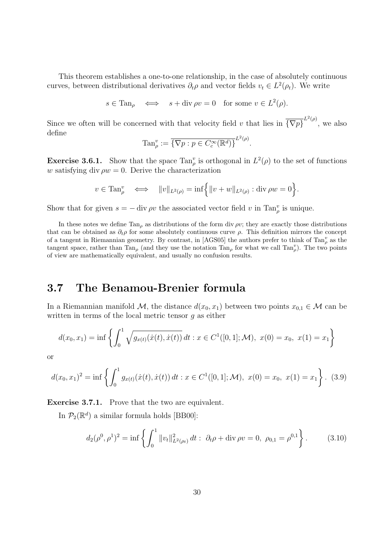This theorem establishes a one-to-one relationship, in the case of absolutely continuous curves, between distributional derivatives  $\partial_t \rho$  and vector fields  $v_t \in L^2(\rho_t)$ . We write

 $s \in \text{Tan}_{\rho} \iff s + \text{div}\,\rho v = 0 \text{ for some } v \in L^2(\rho).$ 

Since we often will be concerned with that velocity field v that lies in  $\overline{\{\nabla p\}}^{L^2(\rho)}$ , we also define

$$
\operatorname{Tan}_{\rho}^v := \overline{\{\nabla p : p \in C_c^{\infty}(\mathbb{R}^d)\}}^{L^2(\rho)}
$$

.

<span id="page-30-1"></span>**Exercise 3.6.1.** Show that the space  $\text{Tan}_{\rho}^v$  is orthogonal in  $L^2(\rho)$  to the set of functions w satisfying div  $\rho w = 0$ . Derive the characterization

$$
v \in \operatorname{Tan}_{\rho}^v \iff ||v||_{L^2(\rho)} = \inf \left\{ ||v + w||_{L^2(\rho)} : \operatorname{div} \rho w = 0 \right\}.
$$

Show that for given  $s = -\text{div }\rho v$  the associated vector field v in  $\text{Tan}_{\rho}^v$  is unique.

In these notes we define  $Tan_{\rho}$  as distributions of the form div  $\rho v$ ; they are exactly those distributions that can be obtained as  $\partial_t \rho$  for some absolutely continuous curve  $\rho$ . This definition mirrors the concept of a tangent in Riemannian geometry. By contrast, in [\[AGS05\]](#page-48-4) the authors prefer to think of  $\text{Tan}_{\rho}^v$  as the tangent space, rather than  $\text{Tan}_{\rho}$  (and they use the notation  $\text{Tan}_{\rho}$  for what we call  $\text{Tan}_{\rho}^v$ ). The two points of view are mathematically equivalent, and usually no confusion results.

#### <span id="page-30-0"></span>3.7 The Benamou-Brenier formula

In a Riemannian manifold M, the distance  $d(x_0, x_1)$  between two points  $x_{0,1} \in \mathcal{M}$  can be written in terms of the local metric tensor g as either

$$
d(x_0, x_1) = \inf \left\{ \int_0^1 \sqrt{g_{x(t)}(\dot{x}(t), \dot{x}(t))} dt : x \in C^1([0, 1]; \mathcal{M}), \ x(0) = x_0, \ x(1) = x_1 \right\}
$$

or

<span id="page-30-3"></span>
$$
d(x_0, x_1)^2 = \inf \left\{ \int_0^1 g_{x(t)}(\dot{x}(t), \dot{x}(t)) dt : x \in C^1([0, 1]; \mathcal{M}), \ x(0) = x_0, \ x(1) = x_1 \right\}. \tag{3.9}
$$

Exercise 3.7.1. Prove that the two are equivalent.

In  $\mathcal{P}_2(\mathbb{R}^d)$  a similar formula holds [\[BB00\]](#page-48-8):

<span id="page-30-2"></span>
$$
d_2(\rho^0, \rho^1)^2 = \inf \left\{ \int_0^1 \|v_t\|_{L^2(\rho_t)}^2 dt : \ \partial_t \rho + \text{div}\,\rho v = 0, \ \rho_{0,1} = \rho^{0,1} \right\}.
$$
 (3.10)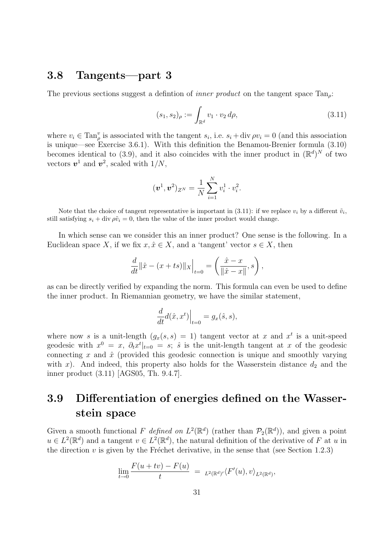#### <span id="page-31-0"></span>3.8 Tangents—part 3

The previous sections suggest a defintion of *inner product* on the tangent space  $Tan_{\rho}$ .

<span id="page-31-2"></span>
$$
(s_1, s_2)_{\rho} := \int_{\mathbb{R}^d} v_1 \cdot v_2 \, d\rho,\tag{3.11}
$$

where  $v_i \in \text{Tan}_{\rho}^v$  is associated with the tangent  $s_i$ , i.e.  $s_i + \text{div}\,\rho v_i = 0$  (and this association is unique—see Exercise [3.6.1\)](#page-30-1). With this definition the Benamou-Brenier formula [\(3.10\)](#page-30-2) becomes identical to [\(3.9\)](#page-30-3), and it also coincides with the inner product in  $(\mathbb{R}^d)^N$  of two vectors  $v^1$  and  $v^2$ , scaled with  $1/N$ ,

$$
(\boldsymbol{v}^1, \boldsymbol{v}^2)_{Z^N} = \frac{1}{N} \sum_{i=1}^N v_i^1 \cdot v_i^2.
$$

Note that the choice of tangent representative is important in [\(3.11\)](#page-31-2): if we replace  $v_i$  by a different  $\tilde{v}_i$ , still satisfying  $s_i + \text{div }\rho \tilde{v}_i = 0$ , then the value of the inner product would change.

In which sense can we consider this an inner product? One sense is the following. In a Euclidean space X, if we fix  $x, \hat{x} \in X$ , and a 'tangent' vector  $s \in X$ , then

$$
\frac{d}{dt} ||\hat{x} - (x + ts)||_{X}\Big|_{t=0} = \left(\frac{\hat{x} - x}{\|\hat{x} - x\|}, s\right),\,
$$

as can be directly verified by expanding the norm. This formula can even be used to define the inner product. In Riemannian geometry, we have the similar statement,

$$
\frac{d}{dt}d(\hat{x},x^t)\Big|_{t=0} = g_x(\hat{s},s),
$$

where now s is a unit-length  $(g_x(s, s) = 1)$  tangent vector at x and  $x<sup>t</sup>$  is a unit-speed geodesic with  $x^0 = x$ ,  $\partial_t x^t |_{t=0} = s$ ;  $\hat{s}$  is the unit-length tangent at x of the geodesic connecting x and  $\hat{x}$  (provided this geodesic connection is unique and smoothly varying with x). And indeed, this property also holds for the Wasserstein distance  $d_2$  and the inner product [\(3.11\)](#page-31-2) [\[AGS05,](#page-48-4) Th. 9.4.7].

#### <span id="page-31-1"></span>3.9 Differentiation of energies defined on the Wasserstein space

Given a smooth functional F defined on  $L^2(\mathbb{R}^d)$  (rather than  $\mathcal{P}_2(\mathbb{R}^d)$ ), and given a point  $u \in L^2(\mathbb{R}^d)$  and a tangent  $v \in L^2(\mathbb{R}^d)$ , the natural definition of the derivative of F at u in the direction  $v$  is given by the Fréchet derivative, in the sense that (see Section [1.2.3\)](#page-12-1)

$$
\lim_{t \to 0} \frac{F(u + tv) - F(u)}{t} = L^2(\mathbb{R}^d)' \langle F'(u), v \rangle_{L^2(\mathbb{R}^d)},
$$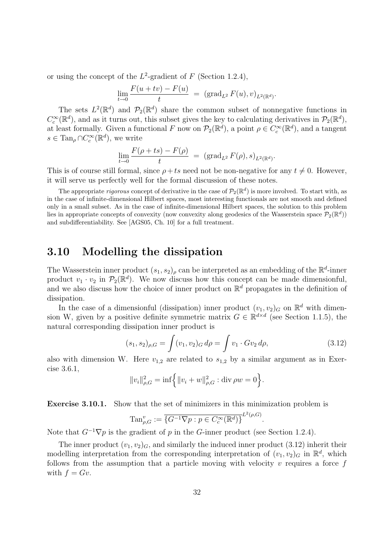or using the concept of the  $L^2$ -gradient of F (Section [1.2.4\)](#page-13-0),

$$
\lim_{t \to 0} \frac{F(u + tv) - F(u)}{t} = (\text{grad}_{L^2} F(u), v)_{L^2(\mathbb{R}^d)}.
$$

The sets  $L^2(\mathbb{R}^d)$  and  $\mathcal{P}_2(\mathbb{R}^d)$  share the common subset of nonnegative functions in  $C_c^{\infty}(\mathbb{R}^d)$ , and as it turns out, this subset gives the key to calculating derivatives in  $\mathcal{P}_2(\mathbb{R}^d)$ , at least formally. Given a functional F now on  $\mathcal{P}_2(\mathbb{R}^d)$ , a point  $\rho \in C_c^{\infty}(\mathbb{R}^d)$ , and a tangent  $s \in \text{Tan}_{\rho} \cap C_c^{\infty}(\mathbb{R}^d)$ , we write

$$
\lim_{t \to 0} \frac{F(\rho + ts) - F(\rho)}{t} = (\text{grad}_{L^2} F(\rho), s)_{L^2(\mathbb{R}^d)}.
$$

This is of course still formal, since  $\rho + ts$  need not be non-negative for any  $t \neq 0$ . However, it will serve us perfectly well for the formal discussion of these notes.

The appropriate *rigorous* concept of derivative in the case of  $\mathcal{P}_2(\mathbb{R}^d)$  is more involved. To start with, as in the case of infinite-dimensional Hilbert spaces, most interesting functionals are not smooth and defined only in a small subset. As in the case of infinite-dimensional Hilbert spaces, the solution to this problem lies in appropriate concepts of convexity (now convexity along geodesics of the Wasserstein space  $\mathcal{P}_2(\mathbb{R}^d)$ ) and subdifferentiability. See [\[AGS05,](#page-48-4) Ch. 10] for a full treatment.

#### <span id="page-32-0"></span>3.10 Modelling the dissipation

The Wasserstein inner product  $(s_1, s_2)$  can be interpreted as an embedding of the  $\mathbb{R}^d$ -inner product  $v_1 \cdot v_2$  in  $\mathcal{P}_2(\mathbb{R}^d)$ . We now discuss how this concept can be made dimensionful, and we also discuss how the choice of inner product on  $\mathbb{R}^d$  propagates in the definition of dissipation.

In the case of a dimensionful (dissipation) inner product  $(v_1, v_2)_G$  on  $\mathbb{R}^d$  with dimension W, given by a positive definite symmetric matrix  $G \in \mathbb{R}^{d \times d}$  (see Section [1.1.5\)](#page-9-0), the natural corresponding dissipation inner product is

<span id="page-32-1"></span>
$$
(s_1, s_2)_{\rho, G} = \int (v_1, v_2)_{G} d\rho = \int v_1 \cdot G v_2 d\rho, \qquad (3.12)
$$

also with dimension W. Here  $v_{1,2}$  are related to  $s_{1,2}$  by a similar argument as in Exercise [3.6.1,](#page-30-1)

$$
||v_i||_{\rho,G}^2 = \inf \left\{ ||v_i + w||_{\rho,G}^2 : \text{div } \rho w = 0 \right\}.
$$

Exercise 3.10.1. Show that the set of minimizers in this minimization problem is

$$
\mathrm{Tan}_{\rho,G}^v := \overline{\{G^{-1}\nabla p : p \in C_c^{\infty}(\mathbb{R}^d)\}}^{L^2(\rho,G)}.
$$

Note that  $G^{-1}\nabla p$  is the gradient of p in the G-inner product (see Section [1.2.4\)](#page-13-0).

The inner product  $(v_1, v_2)$ <sub>G</sub>, and similarly the induced inner product [\(3.12\)](#page-32-1) inherit their modelling interpretation from the corresponding interpretation of  $(v_1, v_2)_G$  in  $\mathbb{R}^d$ , which follows from the assumption that a particle moving with velocity  $v$  requires a force  $f$ with  $f = Gv$ .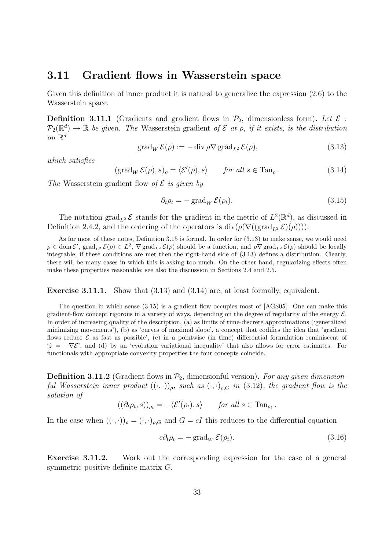#### <span id="page-33-0"></span>3.11 Gradient flows in Wasserstein space

Given this definition of inner product it is natural to generalize the expression  $(2.6)$  to the Wasserstein space.

**Definition 3.11.1** (Gradients and gradient flows in  $\mathcal{P}_2$ , dimensionless form). Let  $\mathcal{E}$ :  $\mathcal{P}_2(\mathbb{R}^d) \to \mathbb{R}$  be given. The Wasserstein gradient of  $\mathcal E$  at  $\rho$ , if it exists, is the distribution on  $\mathbb{R}^d$ 

<span id="page-33-2"></span>
$$
\operatorname{grad}_{W} \mathcal{E}(\rho) := -\operatorname{div} \rho \nabla \operatorname{grad}_{L^{2}} \mathcal{E}(\rho), \tag{3.13}
$$

which satisfies

<span id="page-33-3"></span>
$$
(\text{grad}_W \mathcal{E}(\rho), s)_{\rho} = \langle \mathcal{E}'(\rho), s \rangle \quad \text{for all } s \in \text{Tan}_{\rho}.
$$
 (3.14)

The Wasserstein gradient flow of  $\mathcal E$  is given by

<span id="page-33-1"></span>
$$
\partial_t \rho_t = -\operatorname{grad}_W \mathcal{E}(\rho_t). \tag{3.15}
$$

The notation  $\text{grad}_{L^2} \mathcal{E}$  stands for the gradient in the metric of  $L^2(\mathbb{R}^d)$ , as discussed in Definition [2.4.2,](#page-20-4) and the ordering of the operators is  $div(\rho(\nabla((grad_{L^2} \mathcal{E})(\rho))))$ .

As for most of these notes, Definition [3.15](#page-33-1) is formal. In order for [\(3.13\)](#page-33-2) to make sense, we would need  $\rho \in \text{dom}\,\mathcal{E}'$ ,  $\text{grad}_{L^2} \mathcal{E}(\rho) \in L^2$ ,  $\nabla \text{grad}_{L^2} \mathcal{E}(\rho)$  should be a function, and  $\rho \nabla \text{grad}_{L^2} \mathcal{E}(\rho)$  should be locally integrable; if these conditions are met then the right-hand side of [\(3.13\)](#page-33-2) defines a distribution. Clearly, there will be many cases in which this is asking too much. On the other hand, regularizing effects often make these properties reasonable; see also the discussion in Sections [2.4](#page-19-0) and [2.5.](#page-20-0)

Exercise 3.11.1. Show that [\(3.13\)](#page-33-2) and [\(3.14\)](#page-33-3) are, at least formally, equivalent.

The question in which sense [\(3.15\)](#page-33-1) is a gradient flow occupies most of [\[AGS05\]](#page-48-4). One can make this gradient-flow concept rigorous in a variety of ways, depending on the degree of regularity of the energy  $\mathcal{E}$ . In order of increasing quality of the description, (a) as limits of time-discrete approximations ('generalized minimizing movements'), (b) as 'curves of maximal slope', a concept that codifies the idea that 'gradient flows reduce  $\mathcal E$  as fast as possible', (c) in a pointwise (in time) differential formulation reminiscent of  $\dot{z} = -\nabla \mathcal{E}$ , and (d) by an 'evolution variational inequality' that also allows for error estimates. For functionals with appropriate convexity properties the four concepts coincide.

**Definition 3.11.2** (Gradient flows in  $\mathcal{P}_2$ , dimensionful version). For any given dimensionful Wasserstein inner product  $((\cdot,\cdot))_{\rho}$ , such as  $(\cdot,\cdot)_{\rho,G}$  in [\(3.12\)](#page-32-1), the gradient flow is the solution of

$$
((\partial_t \rho_t, s))_{\rho_t} = -\langle \mathcal{E}'(\rho_t), s \rangle \quad \text{for all } s \in \text{Tan}_{\rho_t}.
$$

In the case when  $((\cdot,\cdot))_{\rho}=(\cdot,\cdot)_{\rho,G}$  and  $G=cI$  this reduces to the differential equation

<span id="page-33-4"></span>
$$
c\partial_t \rho_t = -\operatorname{grad}_W \mathcal{E}(\rho_t). \tag{3.16}
$$

Exercise 3.11.2. Work out the corresponding expression for the case of a general symmetric positive definite matrix G.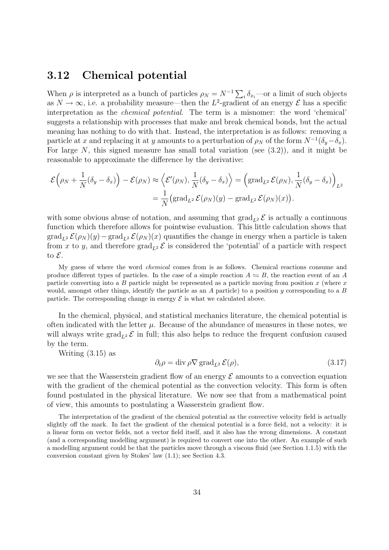#### <span id="page-34-0"></span>3.12 Chemical potential

When  $\rho$  is interpreted as a bunch of particles  $\rho_N = N^{-1} \sum_i \delta_{x_i}$ —or a limit of such objects as  $N \to \infty$ , i.e. a probability measure—then the L<sup>2</sup>-gradient of an energy  $\mathcal{E}$  has a specific interpretation as the chemical potential. The term is a misnomer: the word 'chemical' suggests a relationship with processes that make and break chemical bonds, but the actual meaning has nothing to do with that. Instead, the interpretation is as follows: removing a particle at x and replacing it at y amounts to a perturbation of  $\rho_N$  of the form  $N^{-1}(\delta_y-\delta_x)$ . For large N, this signed measure has small total variation (see  $(3.2)$ ), and it might be reasonable to approximate the difference by the derivative:

$$
\mathcal{E}(\rho_N + \frac{1}{N}(\delta_y - \delta_x)) - \mathcal{E}(\rho_N) \approx \left\langle \mathcal{E}'(\rho_N), \frac{1}{N}(\delta_y - \delta_x) \right\rangle = \left(\text{grad}_{L^2} \mathcal{E}(\rho_N), \frac{1}{N}(\delta_y - \delta_x)\right)_{L^2}
$$

$$
= \frac{1}{N} \left(\text{grad}_{L^2} \mathcal{E}(\rho_N)(y) - \text{grad}_{L^2} \mathcal{E}(\rho_N)(x)\right).
$$

with some obvious abuse of notation, and assuming that  $\text{grad}_{L^2} \mathcal{E}$  is actually a continuous function which therefore allows for pointwise evaluation. This little calculation shows that  $\text{grad}_{L^2} \mathcal{E}(\rho_N)(y) - \text{grad}_{L^2} \mathcal{E}(\rho_N)(x)$  quantifies the change in energy when a particle is taken from x to y, and therefore  $\text{grad}_{L^2} \mathcal{E}$  is considered the 'potential' of a particle with respect to  $\mathcal{E}$ .

My guess of where the word chemical comes from is as follows. Chemical reactions consume and produce different types of particles. In the case of a simple reaction  $A \leftrightharpoons B$ , the reaction event of an A particle converting into a B particle might be represented as a particle moving from position  $x$  (where  $x$ would, amongst other things, identify the particle as an  $A$  particle) to a position  $y$  corresponding to a  $B$ particle. The corresponding change in energy  $\mathcal E$  is what we calculated above.

In the chemical, physical, and statistical mechanics literature, the chemical potential is often indicated with the letter  $\mu$ . Because of the abundance of measures in these notes, we will always write  $\text{grad}_{L^2} \mathcal{E}$  in full; this also helps to reduce the frequent confusion caused by the term.

Writing [\(3.15\)](#page-33-1) as

<span id="page-34-1"></span>
$$
\partial_t \rho = \text{div} \, \rho \nabla \, \text{grad}_{L^2} \, \mathcal{E}(\rho), \tag{3.17}
$$

we see that the Wasserstein gradient flow of an energy  $\mathcal E$  amounts to a convection equation with the gradient of the chemical potential as the convection velocity. This form is often found postulated in the physical literature. We now see that from a mathematical point of view, this amounts to postulating a Wasserstein gradient flow.

The interpretation of the gradient of the chemical potential as the convective velocity field is actually slightly off the mark. In fact the gradient of the chemical potential is a force field, not a velocity: it is a linear form on vector fields, not a vector field itself, and it also has the wrong dimensions. A constant (and a corresponding modelling argument) is required to convert one into the other. An example of such a modelling argument could be that the particles move through a viscous fluid (see Section [1.1.5\)](#page-9-0) with the conversion constant given by Stokes' law [\(1.1\)](#page-10-2); see Section [4.3.](#page-39-0)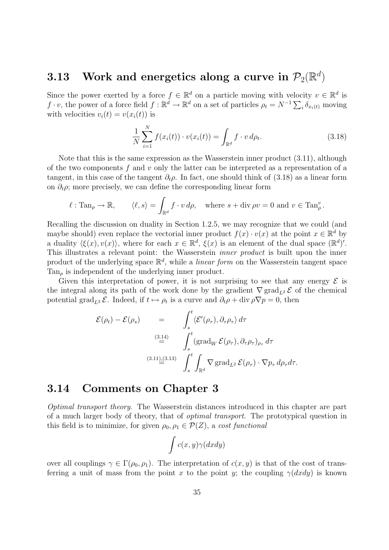### <span id="page-35-0"></span> $3.13$  Work and energetics along a curve in  $\mathcal{P}_2(\mathbb{R}^d)$

Since the power exerted by a force  $f \in \mathbb{R}^d$  on a particle moving with velocity  $v \in \mathbb{R}^d$  is  $f \cdot v$ , the power of a force field  $f : \mathbb{R}^d \to \mathbb{R}^d$  on a set of particles  $\rho_t = N^{-1} \sum_i \delta_{x_i(t)}$  moving with velocities  $v_i(t) = v(x_i(t))$  is

<span id="page-35-2"></span>
$$
\frac{1}{N} \sum_{i=1}^{N} f(x_i(t)) \cdot v(x_i(t)) = \int_{\mathbb{R}^d} f \cdot v \, d\rho_t.
$$
\n(3.18)

Note that this is the same expression as the Wasserstein inner product [\(3.11\)](#page-31-2), although of the two components f and v only the latter can be interpreted as a representation of a tangent, in this case of the tangent  $\partial_t \rho$ . In fact, one should think of [\(3.18\)](#page-35-2) as a linear form on  $\partial_t \rho$ ; more precisely, we can define the corresponding linear form

$$
\ell : \text{Tan}_{\rho} \to \mathbb{R}, \qquad \langle \ell, s \rangle = \int_{\mathbb{R}^d} f \cdot v \, d\rho, \text{ where } s + \text{div}_{\rho} v = 0 \text{ and } v \in \text{Tan}_{\rho}^v.
$$

Recalling the discussion on duality in Section [1.2.5,](#page-13-1) we may recognize that we could (and maybe should) even replace the vectorial inner product  $f(x) \cdot v(x)$  at the point  $x \in \mathbb{R}^d$  by a duality  $\langle \xi(x), v(x) \rangle$ , where for each  $x \in \mathbb{R}^d$ ,  $\xi(x)$  is an element of the dual space  $(\mathbb{R}^d)'$ . This illustrates a relevant point: the Wasserstein inner product is built upon the inner product of the underlying space  $\mathbb{R}^d$ , while a *linear form* on the Wasserstein tangent space  $Tan_{\rho}$  is independent of the underlying inner product.

Given this interpretation of power, it is not surprising to see that any energy  $\mathcal E$  is the integral along its path of the work done by the gradient  $\nabla \text{grad}_{L^2} \mathcal{E}$  of the chemical potential grad<sub>L2</sub>  $\mathcal{E}$ . Indeed, if  $t \mapsto \rho_t$  is a curve and  $\partial_t \rho + \text{div } \rho \nabla p = 0$ , then

$$
\mathcal{E}(\rho_t) - \mathcal{E}(\rho_s) = \int_s^t \langle \mathcal{E}'(\rho_\tau), \partial_\tau \rho_\tau \rangle d\tau
$$
\n
$$
\stackrel{(3.14)}{=} \int_s^t \langle \text{grad}_W \, \mathcal{E}(\rho_\tau), \partial_\tau \rho_\tau \rangle_{\rho_\tau} d\tau
$$
\n
$$
\stackrel{(3.11),(3.13)}{=} \int_s^t \int_{\mathbb{R}^d} \nabla \, \text{grad}_{L^2} \, \mathcal{E}(\rho_\tau) \cdot \nabla p_\tau \, d\rho_\tau d\tau.
$$

#### <span id="page-35-1"></span>3.14 Comments on Chapter [3](#page-24-0)

Optimal transport theory. The Wasserstein distances introduced in this chapter are part of a much larger body of theory, that of optimal transport. The prototypical question in this field is to minimize, for given  $\rho_0, \rho_1 \in \mathcal{P}(Z)$ , a cost functional

$$
\int c(x,y)\gamma(dxdy)
$$

over all couplings  $\gamma \in \Gamma(\rho_0, \rho_1)$ . The interpretation of  $c(x, y)$  is that of the cost of transferring a unit of mass from the point x to the point y; the coupling  $\gamma(dxdy)$  is known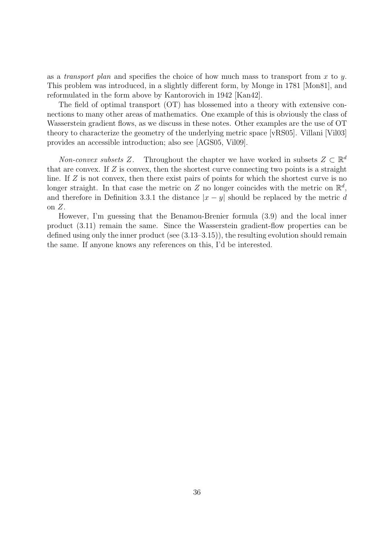as a transport plan and specifies the choice of how much mass to transport from x to y. This problem was introduced, in a slightly different form, by Monge in 1781 [\[Mon81\]](#page-49-10), and reformulated in the form above by Kantorovich in 1942 [\[Kan42\]](#page-49-11).

The field of optimal transport (OT) has blossemed into a theory with extensive connections to many other areas of mathematics. One example of this is obviously the class of Wasserstein gradient flows, as we discuss in these notes. Other examples are the use of OT theory to characterize the geometry of the underlying metric space [\[vRS05\]](#page-50-6). Villani [\[Vil03\]](#page-50-7) provides an accessible introduction; also see [\[AGS05,](#page-48-4) [Vil09\]](#page-50-8).

Non-convex subsets Z. Throughout the chapter we have worked in subsets  $Z \subset \mathbb{R}^d$ that are convex. If  $Z$  is convex, then the shortest curve connecting two points is a straight line. If Z is not convex, then there exist pairs of points for which the shortest curve is no longer straight. In that case the metric on Z no longer coincides with the metric on  $\mathbb{R}^d$ , and therefore in Definition [3.3.1](#page-26-2) the distance  $|x - y|$  should be replaced by the metric d on  $Z$ .

However, I'm guessing that the Benamou-Brenier formula [\(3.9\)](#page-30-3) and the local inner product [\(3.11\)](#page-31-2) remain the same. Since the Wasserstein gradient-flow properties can be defined using only the inner product (see [\(3.13–](#page-33-2)[3.15\)](#page-33-1)), the resulting evolution should remain the same. If anyone knows any references on this, I'd be interested.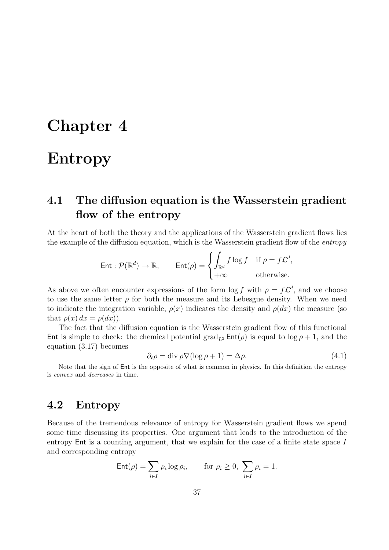### <span id="page-37-0"></span>Chapter 4

### Entropy

### <span id="page-37-1"></span>4.1 The diffusion equation is the Wasserstein gradient flow of the entropy

At the heart of both the theory and the applications of the Wasserstein gradient flows lies the example of the diffusion equation, which is the Wasserstein gradient flow of the entropy

$$
\text{Ent}: \mathcal{P}(\mathbb{R}^d) \to \mathbb{R}, \qquad \text{Ent}(\rho) = \begin{cases} \int_{\mathbb{R}^d} f \log f & \text{if } \rho = f\mathcal{L}^d, \\ +\infty & \text{otherwise.} \end{cases}
$$

As above we often encounter expressions of the form  $\log f$  with  $\rho = f\mathcal{L}^d$ , and we choose to use the same letter  $\rho$  for both the measure and its Lebesgue density. When we need to indicate the integration variable,  $\rho(x)$  indicates the density and  $\rho(dx)$  the measure (so that  $\rho(x) dx = \rho(dx)$ .

The fact that the diffusion equation is the Wasserstein gradient flow of this functional Ent is simple to check: the chemical potential grad<sub>L2</sub> Ent( $\rho$ ) is equal to log  $\rho + 1$ , and the equation [\(3.17\)](#page-34-1) becomes

$$
\partial_t \rho = \text{div}\,\rho \nabla (\log \rho + 1) = \Delta \rho. \tag{4.1}
$$

Note that the sign of Ent is the opposite of what is common in physics. In this definition the entropy is convex and decreases in time.

#### <span id="page-37-2"></span>4.2 Entropy

Because of the tremendous relevance of entropy for Wasserstein gradient flows we spend some time discussing its properties. One argument that leads to the introduction of the entropy Ent is a counting argument, that we explain for the case of a finite state space I and corresponding entropy

$$
\operatorname{Ent}(\rho) = \sum_{i \in I} \rho_i \log \rho_i, \quad \text{for } \rho_i \ge 0, \sum_{i \in I} \rho_i = 1.
$$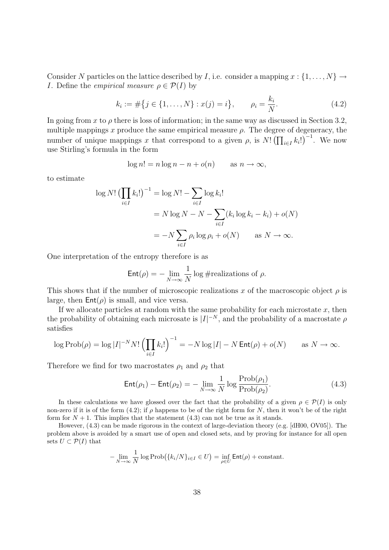Consider N particles on the lattice described by I, i.e. consider a mapping  $x : \{1, \ldots, N\} \rightarrow$ *I*. Define the *empirical measure*  $\rho \in \mathcal{P}(I)$  by

<span id="page-38-0"></span>
$$
k_i := \#\{j \in \{1, ..., N\} : x(j) = i\}, \qquad \rho_i = \frac{k_i}{N}.
$$
 (4.2)

In going from x to  $\rho$  there is loss of information; in the same way as discussed in Section [3.2,](#page-25-0) multiple mappings x produce the same empirical measure  $\rho$ . The degree of degeneracy, the number of unique mappings x that correspond to a given  $\rho$ , is  $N! \left( \prod_{i \in I} k_i! \right)^{-1}$ . We now use Stirling's formula in the form

$$
\log n! = n \log n - n + o(n) \quad \text{as } n \to \infty,
$$

to estimate

$$
\log N! \left( \prod_{i \in I} k_i! \right)^{-1} = \log N! - \sum_{i \in I} \log k_i!
$$
  
=  $N \log N - N - \sum_{i \in I} (k_i \log k_i - k_i) + o(N)$   
=  $-N \sum_{i \in I} \rho_i \log \rho_i + o(N)$  as  $N \to \infty$ .

One interpretation of the entropy therefore is as

$$
\mathsf{Ent}(\rho) = -\lim_{N \to \infty} \frac{1}{N} \log \# \text{realizations of } \rho.
$$

This shows that if the number of microscopic realizations x of the macroscopic object  $\rho$  is large, then  $Ent(\rho)$  is small, and vice versa.

If we allocate particles at random with the same probability for each microstate  $x$ , then the probability of obtaining each microsate is  $|I|^{-N}$ , and the probability of a macrostate  $\rho$ satisfies

$$
\log \operatorname{Prob}(\rho) = \log |I|^{-N} N! \left(\prod_{i \in I} k_i!\right)^{-1} = -N \log |I| - N \operatorname{Ent}(\rho) + o(N) \quad \text{as } N \to \infty.
$$

Therefore we find for two macrostates  $\rho_1$  and  $\rho_2$  that

<span id="page-38-1"></span>
$$
Ent(\rho_1) - Ent(\rho_2) = -\lim_{N \to \infty} \frac{1}{N} \log \frac{Prob(\rho_1)}{Prob(\rho_2)}.
$$
\n(4.3)

In these calculations we have glossed over the fact that the probability of a given  $\rho \in \mathcal{P}(I)$  is only non-zero if it is of the form [\(4.2\)](#page-38-0); if  $\rho$  happens to be of the right form for N, then it won't be of the right form for  $N + 1$ . This implies that the statement [\(4.3\)](#page-38-1) can not be true as it stands.

However, [\(4.3\)](#page-38-1) can be made rigorous in the context of large-deviation theory (e.g. [\[dH00,](#page-48-9) [OV05\]](#page-49-12)). The problem above is avoided by a smart use of open and closed sets, and by proving for instance for all open sets  $U \subset \mathcal{P}(I)$  that

$$
-\lim_{N\to\infty}\frac{1}{N}\log\mathrm{Prob}(\{k_i/N\}_{i\in I}\in U)=\inf_{\rho\in U}\mathsf{Ent}(\rho)+\mathrm{constant}.
$$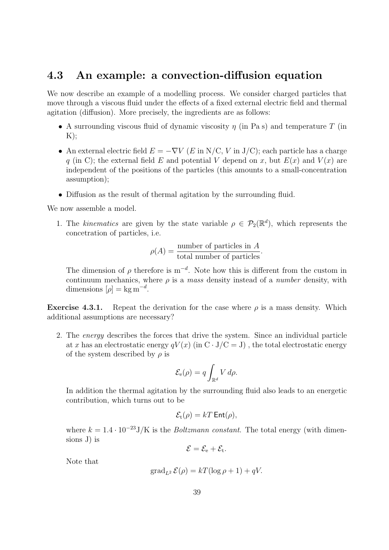#### <span id="page-39-0"></span>4.3 An example: a convection-diffusion equation

We now describe an example of a modelling process. We consider charged particles that move through a viscous fluid under the effects of a fixed external electric field and thermal agitation (diffusion). More precisely, the ingredients are as follows:

- A surrounding viscous fluid of dynamic viscosity  $\eta$  (in Pa s) and temperature T (in  $K$ :
- An external electric field  $E = -\nabla V$  (E in N/C, V in J/C); each particle has a charge q (in C); the external field E and potential V depend on x, but  $E(x)$  and  $V(x)$  are independent of the positions of the particles (this amounts to a small-concentration assumption);
- Diffusion as the result of thermal agitation by the surrounding fluid.

We now assemble a model.

1. The kinematics are given by the state variable  $\rho \in \mathcal{P}_2(\mathbb{R}^d)$ , which represents the concetration of particles, i.e.

$$
\rho(A) = \frac{\text{number of particles in } A}{\text{total number of particles}}.
$$

The dimension of  $\rho$  therefore is m<sup>-d</sup>. Note how this is different from the custom in continuum mechanics, where  $\rho$  is a mass density instead of a *number* density, with dimensions  $[\rho] = \text{kg m}^{-d}$ .

**Exercise 4.3.1.** Repeat the derivation for the case where  $\rho$  is a mass density. Which additional assumptions are necessary?

2. The energy describes the forces that drive the system. Since an individual particle at x has an electrostatic energy  $qV(x)$  (in C  $\cdot$  J/C = J), the total electrostatic energy of the system described by  $\rho$  is

$$
\mathcal{E}_{\mathbf{e}}(\rho) = q \int_{\mathbb{R}^d} V \, d\rho.
$$

In addition the thermal agitation by the surrounding fluid also leads to an energetic contribution, which turns out to be

$$
\mathcal{E}_{t}(\rho)=kT\,\mathsf{Ent}(\rho),
$$

where  $k = 1.4 \cdot 10^{-23} J/K$  is the *Boltzmann constant*. The total energy (with dimensions J) is

$$
\mathcal{E}=\mathcal{E}_{\mathrm{e}}+\mathcal{E}_{\mathrm{t}}.
$$

Note that

$$
\operatorname{grad}_{L^2} \mathcal{E}(\rho) = kT(\log \rho + 1) + qV.
$$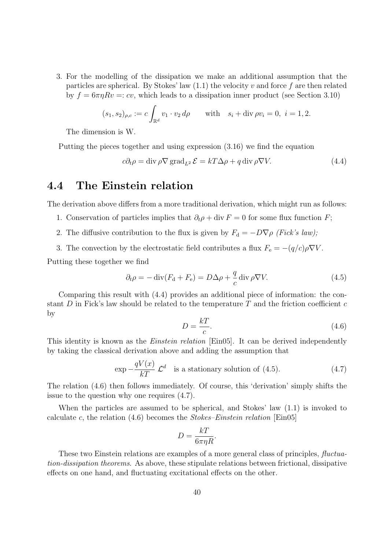3. For the modelling of the dissipation we make an additional assumption that the particles are spherical. By Stokes' law  $(1.1)$  the velocity v and force f are then related by  $f = 6\pi\eta Rv = c\upsilon$ , which leads to a dissipation inner product (see Section [3.10\)](#page-32-0)

$$
(s_1, s_2)_{\rho,c} := c \int_{\mathbb{R}^d} v_1 \cdot v_2 d\rho
$$
 with  $s_i + \text{div } \rho v_i = 0, i = 1, 2.$ 

The dimension is W.

Putting the pieces together and using expression [\(3.16\)](#page-33-4) we find the equation

<span id="page-40-1"></span>
$$
c\partial_t \rho = \text{div}\,\rho \nabla \,\text{grad}_{L^2}\,\mathcal{E} = kT\Delta \rho + q \,\text{div}\,\rho \nabla V. \tag{4.4}
$$

#### <span id="page-40-0"></span>4.4 The Einstein relation

The derivation above differs from a more traditional derivation, which might run as follows:

- 1. Conservation of particles implies that  $\partial_t \rho + \text{div } F = 0$  for some flux function F;
- 2. The diffusive contribution to the flux is given by  $F_d = -D\nabla \rho$  (Fick's law);
- 3. The convection by the electrostatic field contributes a flux  $F_e = -(q/c)\rho \nabla V$ .

Putting these together we find

<span id="page-40-2"></span>
$$
\partial_t \rho = -\operatorname{div}(F_\mathrm{d} + F_\mathrm{e}) = D\Delta \rho + \frac{q}{c} \operatorname{div} \rho \nabla V. \tag{4.5}
$$

Comparing this result with [\(4.4\)](#page-40-1) provides an additional piece of information: the constant D in Fick's law should be related to the temperature T and the friction coefficient  $c$ by

<span id="page-40-3"></span>
$$
D = \frac{k}{c}.\tag{4.6}
$$

This identity is known as the *Einstein relation* [\[Ein05\]](#page-49-13). It can be derived independently by taking the classical derivation above and adding the assumption that

<span id="page-40-4"></span>
$$
\exp -\frac{qV(x)}{kT} \mathcal{L}^d \quad \text{is a stationary solution of (4.5).} \tag{4.7}
$$

The relation [\(4.6\)](#page-40-3) then follows immediately. Of course, this 'derivation' simply shifts the issue to the question why one requires [\(4.7\)](#page-40-4).

When the particles are assumed to be spherical, and Stokes' law [\(1.1\)](#page-10-2) is invoked to calculate c, the relation  $(4.6)$  becomes the *Stokes–Einstein relation* [\[Ein05\]](#page-49-13)

$$
D = \frac{kT}{6\pi\eta R}.
$$

These two Einstein relations are examples of a more general class of principles, fluctuation-dissipation theorems. As above, these stipulate relations between frictional, dissipative effects on one hand, and fluctuating excitational effects on the other.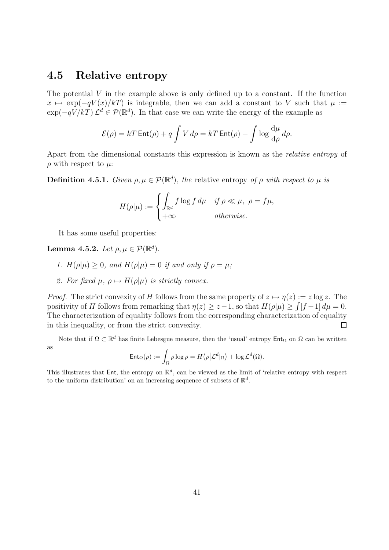#### <span id="page-41-0"></span>4.5 Relative entropy

The potential  $V$  in the example above is only defined up to a constant. If the function  $x \mapsto \exp(-qV(x)/kT)$  is integrable, then we can add a constant to V such that  $\mu :=$  $\exp(-qV/kT)\mathcal{L}^d \in \mathcal{P}(\mathbb{R}^d)$ . In that case we can write the energy of the example as

$$
\mathcal{E}(\rho) = kT \operatorname{Ent}(\rho) + q \int V d\rho = kT \operatorname{Ent}(\rho) - \int \log \frac{d\mu}{d\rho} d\rho.
$$

Apart from the dimensional constants this expression is known as the relative entropy of  $\rho$  with respect to  $\mu$ :

**Definition 4.5.1.** Given  $\rho, \mu \in \mathcal{P}(\mathbb{R}^d)$ , the relative entropy of  $\rho$  with respect to  $\mu$  is

$$
H(\rho|\mu) := \begin{cases} \int_{\mathbb{R}^d} f \log f \, d\mu & \text{if } \rho \ll \mu, \ \rho = f\mu, \\ +\infty & \text{otherwise.} \end{cases}
$$

It has some useful properties:

Lemma 4.5.2. Let  $\rho, \mu \in \mathcal{P}(\mathbb{R}^d)$ .

- 1.  $H(\rho|\mu) \geq 0$ , and  $H(\rho|\mu) = 0$  if and only if  $\rho = \mu$ ;
- 2. For fixed  $\mu$ ,  $\rho \mapsto H(\rho|\mu)$  is strictly convex.

*Proof.* The strict convexity of H follows from the same property of  $z \mapsto \eta(z) := z \log z$ . The positivity of H follows from remarking that  $\eta(z) \geq z-1$ , so that  $H(\rho|\mu) \geq \int [f-1] d\mu = 0$ . The characterization of equality follows from the corresponding characterization of equality in this inequality, or from the strict convexity.  $\Box$ 

Note that if  $\Omega \subset \mathbb{R}^d$  has finite Lebesgue measure, then the 'usual' entropy  $\mathsf{Ent}_\Omega$  on  $\Omega$  can be written as

$$
\mathsf{Ent}_{\Omega}(\rho) := \int_{\Omega} \rho \log \rho = H(\rho | \mathcal{L}^d|_{\Omega}) + \log \mathcal{L}^d(\Omega).
$$

This illustrates that Ent, the entropy on  $\mathbb{R}^d$ , can be viewed as the limit of 'relative entropy with respect to the uniform distribution' on an increasing sequence of subsets of  $\mathbb{R}^d$ .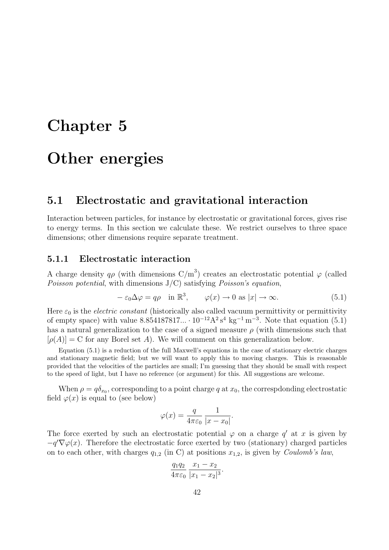# <span id="page-42-0"></span>Chapter 5

### Other energies

#### <span id="page-42-1"></span>5.1 Electrostatic and gravitational interaction

Interaction between particles, for instance by electrostatic or gravitational forces, gives rise to energy terms. In this section we calculate these. We restrict ourselves to three space dimensions; other dimensions require separate treatment.

#### <span id="page-42-2"></span>5.1.1 Electrostatic interaction

A charge density  $q\rho$  (with dimensions  $C/m^3$ ) creates an electrostatic potential  $\varphi$  (called Poisson potential, with dimensions  $J/C$ ) satisfying Poisson's equation,

<span id="page-42-3"></span>
$$
-\varepsilon_0 \Delta \varphi = q\rho \quad \text{in } \mathbb{R}^3, \qquad \varphi(x) \to 0 \text{ as } |x| \to \infty. \tag{5.1}
$$

Here  $\varepsilon_0$  is the *electric constant* (historically also called vacuum permittivity or permittivity of empty space) with value  $8.854187817... \cdot 10^{-12} A^2 s^4 kg^{-1} m^{-3}$ . Note that equation [\(5.1\)](#page-42-3) has a natural generalization to the case of a signed measure  $\rho$  (with dimensions such that  $[\rho(A)] = C$  for any Borel set A). We will comment on this generalization below.

Equation [\(5.1\)](#page-42-3) is a reduction of the full Maxwell's equations in the case of stationary electric charges and stationary magnetic field; but we will want to apply this to moving charges. This is reasonable provided that the velocities of the particles are small; I'm guessing that they should be small with respect to the speed of light, but I have no reference (or argument) for this. All suggestions are welcome.

When  $\rho = q \delta_{x_0}$ , corresponding to a point charge q at  $x_0$ , the correspdonding electrostatic field  $\varphi(x)$  is equal to (see below)

$$
\varphi(x) = \frac{q}{4\pi\varepsilon_0} \frac{1}{|x - x_0|}.
$$

The force exerted by such an electrostatic potential  $\varphi$  on a charge  $q'$  at x is given by  $-q'\nabla\varphi(x)$ . Therefore the electrostatic force exerted by two (stationary) charged particles on to each other, with charges  $q_{1,2}$  (in C) at positions  $x_{1,2}$ , is given by *Coulomb's law*,

$$
\frac{q_1 q_2}{4\pi\varepsilon_0} \frac{x_1 - x_2}{|x_1 - x_2|^3}.
$$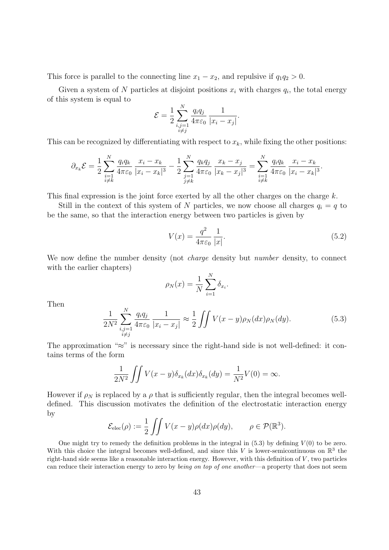This force is parallel to the connecting line  $x_1 - x_2$ , and repulsive if  $q_1q_2 > 0$ .

Given a system of N particles at disjoint positions  $x_i$  with charges  $q_i$ , the total energy of this system is equal to

$$
\mathcal{E} = \frac{1}{2} \sum_{\substack{i,j=1 \\ i \neq j}}^N \frac{q_i q_j}{4 \pi \varepsilon_0} \frac{1}{|x_i - x_j|}.
$$

This can be recognized by differentiating with respect to  $x_k$ , while fixing the other positions:

$$
\partial_{x_k} \mathcal{E} = \frac{1}{2} \sum_{\substack{i=1 \\ i \neq k}}^N \frac{q_i q_k}{4 \pi \varepsilon_0} \frac{x_i - x_k}{|x_i - x_k|^3} - \frac{1}{2} \sum_{\substack{j=1 \\ j \neq k}}^N \frac{q_k q_j}{4 \pi \varepsilon_0} \frac{x_k - x_j}{|x_k - x_j|^3} = \sum_{\substack{i=1 \\ i \neq k}}^N \frac{q_i q_k}{4 \pi \varepsilon_0} \frac{x_i - x_k}{|x_i - x_k|^3}.
$$

This final expression is the joint force exerted by all the other charges on the charge  $k$ .

Still in the context of this system of N particles, we now choose all charges  $q_i = q$  to be the same, so that the interaction energy between two particles is given by

<span id="page-43-1"></span>
$$
V(x) = \frac{q^2}{4\pi\varepsilon_0} \frac{1}{|x|}.
$$
\n(5.2)

We now define the number density (not *charge* density but *number* density, to connect with the earlier chapters)

$$
\rho_N(x) = \frac{1}{N} \sum_{i=1}^N \delta_{x_i}.
$$

Then

<span id="page-43-0"></span>
$$
\frac{1}{2N^2} \sum_{\substack{i,j=1\\i \neq j}}^N \frac{q_i q_j}{4\pi \varepsilon_0} \frac{1}{|x_i - x_j|} \approx \frac{1}{2} \iint V(x - y) \rho_N(dx) \rho_N(dy). \tag{5.3}
$$

The approximation "≈" is necessary since the right-hand side is not well-defined: it contains terms of the form

$$
\frac{1}{2N^2} \iint V(x-y) \delta_{x_k}(dx) \delta_{x_k}(dy) = \frac{1}{N^2} V(0) = \infty.
$$

However if  $\rho_N$  is replaced by a  $\rho$  that is sufficiently regular, then the integral becomes welldefined. This discussion motivates the definition of the electrostatic interaction energy by

$$
\mathcal{E}_{\text{elec}}(\rho) := \frac{1}{2} \iint V(x - y) \rho(dx) \rho(dy), \qquad \rho \in \mathcal{P}(\mathbb{R}^3).
$$

One might try to remedy the definition problems in the integral in  $(5.3)$  by defining  $V(0)$  to be zero. With this choice the integral becomes well-defined, and since this V is lower-semicontinuous on  $\mathbb{R}^3$  the right-hand side seems like a reasonable interaction energy. However, with this definition of V , two particles can reduce their interaction energy to zero by being on top of one another—a property that does not seem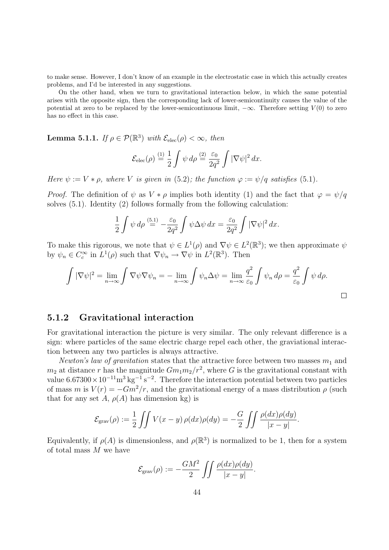to make sense. However, I don't know of an example in the electrostatic case in which this actually creates problems, and I'd be interested in any suggestions.

On the other hand, when we turn to gravitational interaction below, in which the same potential arises with the opposite sign, then the corresponding lack of lower-semicontinuity causes the value of the potential at zero to be replaced by the lower-semicontinuous limit,  $-\infty$ . Therefore setting  $V(0)$  to zero has no effect in this case.

**Lemma 5.1.1.** If  $\rho \in \mathcal{P}(\mathbb{R}^3)$  with  $\mathcal{E}_{elec}(\rho) < \infty$ , then

$$
\mathcal{E}_{\text{elec}}(\rho) \stackrel{(1)}{=} \frac{1}{2} \int \psi \, d\rho \stackrel{(2)}{=} \frac{\varepsilon_0}{2q^2} \int |\nabla \psi|^2 \, dx.
$$

Here  $\psi := V * \rho$ , where V is given in [\(5.2\)](#page-43-1); the function  $\varphi := \psi/q$  satisfies [\(5.1\)](#page-42-3).

*Proof.* The definition of  $\psi$  as  $V * \rho$  implies both identity (1) and the fact that  $\varphi = \psi/q$ solves [\(5.1\)](#page-42-3). Identity (2) follows formally from the following calculation:

$$
\frac{1}{2}\int \psi \,d\rho \stackrel{(5.1)}{=} -\frac{\varepsilon_0}{2q^2} \int \psi \Delta \psi \,dx = \frac{\varepsilon_0}{2q^2} \int |\nabla \psi|^2 \,dx.
$$

To make this rigorous, we note that  $\psi \in L^1(\rho)$  and  $\nabla \psi \in L^2(\mathbb{R}^3)$ ; we then approximate  $\psi$ by  $\psi_n \in C_c^{\infty}$  in  $L^1(\rho)$  such that  $\nabla \psi_n \to \nabla \psi$  in  $L^2(\mathbb{R}^3)$ . Then

$$
\int |\nabla \psi|^2 = \lim_{n \to \infty} \int \nabla \psi \nabla \psi_n = -\lim_{n \to \infty} \int \psi_n \Delta \psi = \lim_{n \to \infty} \frac{q^2}{\varepsilon_0} \int \psi_n d\rho = \frac{q^2}{\varepsilon_0} \int \psi d\rho.
$$

#### <span id="page-44-0"></span>5.1.2 Gravitational interaction

For gravitational interaction the picture is very similar. The only relevant difference is a sign: where particles of the same electric charge repel each other, the graviational interaction between any two particles is always attractive.

Newton's law of gravitation states that the attractive force between two masses  $m_1$  and  $m_2$  at distance r has the magnitude  $Gm_1m_2/r^2$ , where G is the gravitational constant with value  $6.67300 \times 10^{-11} \text{m}^3 \text{ kg}^{-1} \text{ s}^{-2}$ . Therefore the interaction potential between two particles of mass m is  $V(r) = -Gm^2/r$ , and the gravitational energy of a mass distribution  $\rho$  (such that for any set A,  $\rho(A)$  has dimension kg) is

$$
\mathcal{E}_{\text{grav}}(\rho) := \frac{1}{2} \iint V(x - y) \, \rho(dx) \rho(dy) = -\frac{G}{2} \iint \frac{\rho(dx) \rho(dy)}{|x - y|}.
$$

Equivalently, if  $\rho(A)$  is dimensionless, and  $\rho(\mathbb{R}^3)$  is normalized to be 1, then for a system of total mass  $M$  we have

$$
\mathcal{E}_{\text{grav}}(\rho) := -\frac{GM^2}{2} \int \int \frac{\rho(dx)\rho(dy)}{|x-y|}.
$$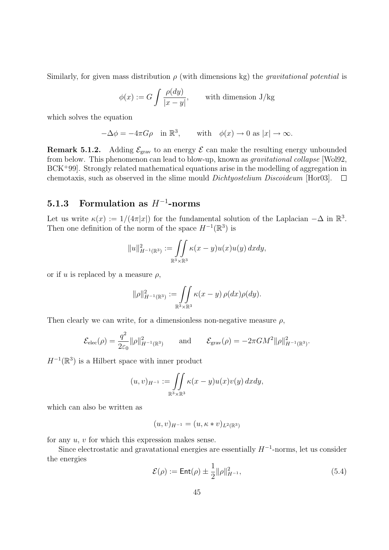Similarly, for given mass distribution  $\rho$  (with dimensions kg) the *qravitational potential* is

$$
\phi(x) := G \int \frac{\rho(dy)}{|x - y|}, \quad \text{with dimension } J/\text{kg}
$$

which solves the equation

$$
-\Delta \phi = -4\pi G \rho \quad \text{in } \mathbb{R}^3, \qquad \text{with} \quad \phi(x) \to 0 \text{ as } |x| \to \infty.
$$

**Remark 5.1.2.** Adding  $\mathcal{E}_{grav}$  to an energy  $\mathcal{E}$  can make the resulting energy unbounded from below. This phenomenon can lead to blow-up, known as gravitational collapse [\[Wol92,](#page-50-9)  $BCK+99$  $BCK+99$ . Strongly related mathematical equations arise in the modelling of aggregation in chemotaxis, such as observed in the slime mould *Dichtyostelium Discoideum* [\[Hor03\]](#page-49-14).  $\square$ 

#### <span id="page-45-0"></span>5.1.3 Formulation as  $H^{-1}$ -norms

Let us write  $\kappa(x) := 1/(4\pi|x|)$  for the fundamental solution of the Laplacian  $-\Delta$  in  $\mathbb{R}^3$ . Then one definition of the norm of the space  $H^{-1}(\mathbb{R}^3)$  is

$$
||u||_{H^{-1}(\mathbb{R}^3)}^2 := \iint_{\mathbb{R}^3 \times \mathbb{R}^3} \kappa(x - y) u(x) u(y) dx dy,
$$

or if u is replaced by a measure  $\rho$ ,

$$
\|\rho\|_{H^{-1}(\mathbb{R}^3)}^2 := \iint\limits_{\mathbb{R}^3\times\mathbb{R}^3} \kappa(x-y) \,\rho(dx)\rho(dy).
$$

Then clearly we can write, for a dimensionless non-negative measure  $\rho$ ,

$$
\mathcal{E}_{\text{elec}}(\rho) = \frac{q^2}{2\varepsilon_0} \|\rho\|_{H^{-1}(\mathbb{R}^3)}^2 \quad \text{and} \quad \mathcal{E}_{\text{grav}}(\rho) = -2\pi GM^2 \|\rho\|_{H^{-1}(\mathbb{R}^3)}^2.
$$

 $H^{-1}(\mathbb{R}^3)$  is a Hilbert space with inner product

$$
(u,v)_{H^{-1}} := \iint\limits_{\mathbb{R}^3 \times \mathbb{R}^3} \kappa(x-y) u(x) v(y) dx dy,
$$

which can also be written as

$$
(u, v)_{H^{-1}} = (u, \kappa * v)_{L^2(\mathbb{R}^3)}
$$

for any  $u, v$  for which this expression makes sense.

Since electrostatic and gravatational energies are essentially  $H^{-1}$ -norms, let us consider the energies

<span id="page-45-1"></span>
$$
\mathcal{E}(\rho) := \text{Ent}(\rho) \pm \frac{1}{2} ||\rho||_{H^{-1}}^2,
$$
\n(5.4)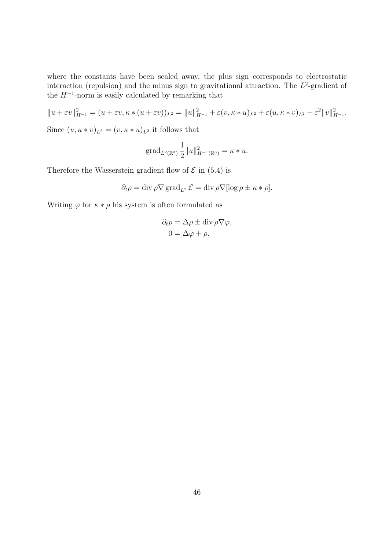where the constants have been scaled away, the plus sign corresponds to electrostatic interaction (repulsion) and the minus sign to gravitational attraction. The  $L^2$ -gradient of the  $H^{-1}$ -norm is easily calculated by remarking that

$$
||u + \varepsilon v||_{H^{-1}}^2 = (u + \varepsilon v, \kappa * (u + \varepsilon v))_{L^2} = ||u||_{H^{-1}}^2 + \varepsilon (v, \kappa * u)_{L^2} + \varepsilon (u, \kappa * v)_{L^2} + \varepsilon^2 ||v||_{H^{-1}}^2.
$$

Since  $(u, \kappa * v)_{L^2} = (v, \kappa * u)_{L^2}$  it follows that

grad<sub>L<sup>2</sup>(
$$
\mathbb{R}^3
$$
)  $\frac{1}{2} ||u||^2_{H^{-1}(\mathbb{R}^3)} = \kappa * u.$</sub> 

Therefore the Wasserstein gradient flow of  $\mathcal E$  in [\(5.4\)](#page-45-1) is

$$
\partial_t \rho = \text{div } \rho \nabla \, \text{grad}_{L^2} \, \mathcal{E} = \text{div } \rho \nabla [\log \rho \pm \kappa * \rho].
$$

Writing  $\varphi$  for  $\kappa * \rho$  his system is often formulated as

$$
\partial_t \rho = \Delta \rho \pm \text{div } \rho \nabla \varphi,
$$
  

$$
0 = \Delta \varphi + \rho.
$$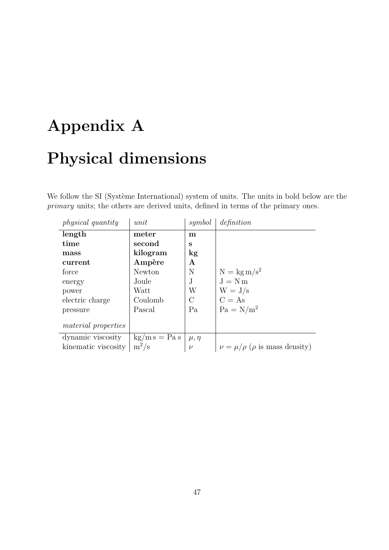# <span id="page-47-0"></span>Appendix A Physical dimensions

We follow the SI (Système International) system of units. The units in bold below are the primary units; the others are derived units, defined in terms of the primary ones.

| <i>physical</i> quantity   | unit                          | symbol       | definition                                 |
|----------------------------|-------------------------------|--------------|--------------------------------------------|
| length                     | meter                         | m            |                                            |
| time                       | second                        | S            |                                            |
| mass                       | kilogram                      | $\log$       |                                            |
| current                    | Ampère                        | A            |                                            |
| force                      | Newton                        | N            | $N = \text{kg m/s}^2$                      |
| energy                     | Joule                         | $\mathbf{J}$ | $J = Nm$                                   |
| power                      | Watt                          | W            | $W = J/s$                                  |
| electric charge            | Coulomb                       | $\rm C$      | $C = As$                                   |
| pressure                   | Pascal                        | Pa           | $Pa = N/m^2$                               |
| <i>material properties</i> |                               |              |                                            |
| dynamic viscosity          | $\text{kg/m s} = \text{Pa s}$ | $\mu, \eta$  |                                            |
| kinematic viscosity        | $m^2/s$                       | $\nu$        | $\nu = \mu/\rho$ ( $\rho$ is mass density) |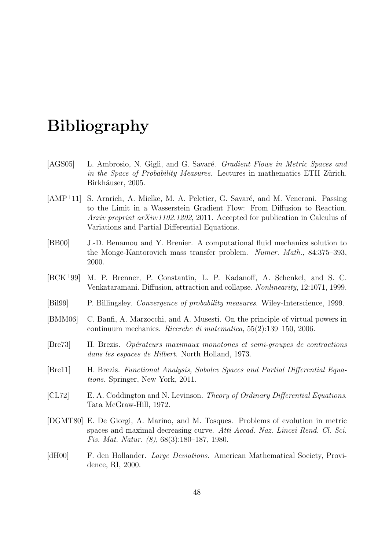### Bibliography

- <span id="page-48-4"></span>[AGS05] L. Ambrosio, N. Gigli, and G. Savaré. Gradient Flows in Metric Spaces and in the Space of Probability Measures. Lectures in mathematics ETH Zürich. Birkhäuser, 2005.
- <span id="page-48-5"></span>[AMP<sup>+</sup>11] S. Arnrich, A. Mielke, M. A. Peletier, G. Savaré, and M. Veneroni. Passing to the Limit in a Wasserstein Gradient Flow: From Diffusion to Reaction. Arxiv preprint arXiv:1102.1202, 2011. Accepted for publication in Calculus of Variations and Partial Differential Equations.
- <span id="page-48-8"></span>[BB00] J.-D. Benamou and Y. Brenier. A computational fluid mechanics solution to the Monge-Kantorovich mass transfer problem. Numer. Math., 84:375–393, 2000.
- <span id="page-48-10"></span>[BCK<sup>+</sup>99] M. P. Brenner, P. Constantin, L. P. Kadanoff, A. Schenkel, and S. C. Venkataramani. Diffusion, attraction and collapse. Nonlinearity, 12:1071, 1999.
- <span id="page-48-7"></span>[Bil99] P. Billingsley. Convergence of probability measures. Wiley-Interscience, 1999.
- <span id="page-48-0"></span>[BMM06] C. Banfi, A. Marzocchi, and A. Musesti. On the principle of virtual powers in continuum mechanics. Ricerche di matematica, 55(2):139–150, 2006.
- <span id="page-48-6"></span>[Bre73] H. Brezis. Op´erateurs maximaux monotones et semi-groupes de contractions dans les espaces de Hilbert. North Holland, 1973.
- <span id="page-48-1"></span>[Bre11] H. Brezis. Functional Analysis, Sobolev Spaces and Partial Differential Equations. Springer, New York, 2011.
- <span id="page-48-2"></span>[CL72] E. A. Coddington and N. Levinson. Theory of Ordinary Differential Equations. Tata McGraw-Hill, 1972.
- <span id="page-48-3"></span>[DGMT80] E. De Giorgi, A. Marino, and M. Tosques. Problems of evolution in metric spaces and maximal decreasing curve. Atti Accad. Naz. Lincei Rend. Cl. Sci. Fis. Mat. Natur. (8), 68(3):180–187, 1980.
- <span id="page-48-9"></span>[dH00] F. den Hollander. Large Deviations. American Mathematical Society, Providence, RI, 2000.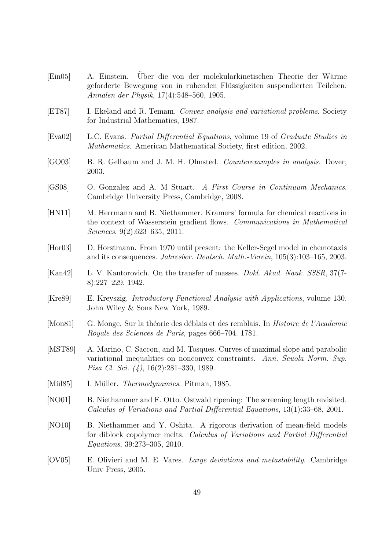<span id="page-49-14"></span><span id="page-49-13"></span><span id="page-49-12"></span><span id="page-49-11"></span><span id="page-49-10"></span><span id="page-49-9"></span><span id="page-49-8"></span><span id="page-49-7"></span><span id="page-49-6"></span><span id="page-49-5"></span><span id="page-49-4"></span><span id="page-49-3"></span><span id="page-49-2"></span><span id="page-49-1"></span><span id="page-49-0"></span>[Ein05] A. Einstein. Uber die von der molekularkinetischen Theorie der Wärme geforderte Bewegung von in ruhenden Flüssigkeiten suspendierten Teilchen. Annalen der Physik, 17(4):548–560, 1905. [ET87] I. Ekeland and R. Temam. Convex analysis and variational problems. Society for Industrial Mathematics, 1987. [Eva02] L.C. Evans. Partial Differential Equations, volume 19 of Graduate Studies in Mathematics. American Mathematical Society, first edition, 2002. [GO03] B. R. Gelbaum and J. M. H. Olmsted. Counterexamples in analysis. Dover, 2003. [GS08] O. Gonzalez and A. M Stuart. A First Course in Continuum Mechanics. Cambridge University Press, Cambridge, 2008. [HN11] M. Herrmann and B. Niethammer. Kramers' formula for chemical reactions in the context of Wasserstein gradient flows. Communications in Mathematical Sciences, 9(2):623–635, 2011. [Hor03] D. Horstmann. From 1970 until present: the Keller-Segel model in chemotaxis and its consequences. Jahresber. Deutsch. Math.-Verein, 105(3):103–165, 2003. [Kan42] L. V. Kantorovich. On the transfer of masses. Dokl. Akad. Nauk. SSSR, 37(7- 8):227–229, 1942. [Kre89] E. Kreyszig. Introductory Functional Analysis with Applications, volume 130. John Wiley & Sons New York, 1989. [Mon81] G. Monge. Sur la théorie des déblais et des remblais. In *Histoire de l'Academie* Royale des Sciences de Paris, pages 666–704. 1781. [MST89] A. Marino, C. Saccon, and M. Tosques. Curves of maximal slope and parabolic variational inequalities on nonconvex constraints. Ann. Scuola Norm. Sup. Pisa Cl. Sci. (4), 16(2):281–330, 1989. [Mül85] I. Müller. *Thermodynamics*. Pitman, 1985. [NO01] B. Niethammer and F. Otto. Ostwald ripening: The screening length revisited. Calculus of Variations and Partial Differential Equations, 13(1):33–68, 2001. [NO10] B. Niethammer and Y. Oshita. A rigorous derivation of mean-field models for diblock copolymer melts. Calculus of Variations and Partial Differential Equations, 39:273–305, 2010. [OV05] E. Olivieri and M. E. Vares. Large deviations and metastability. Cambridge Univ Press, 2005.